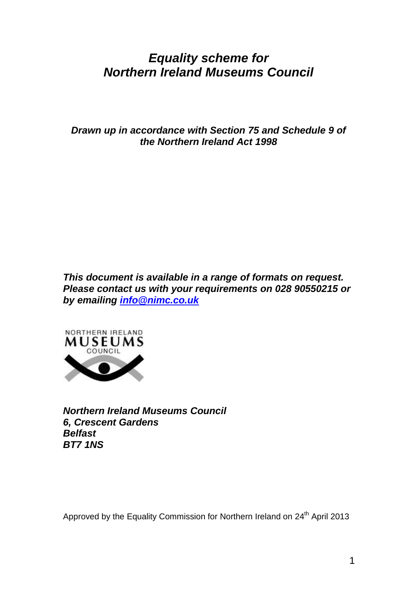# *Equality scheme for Northern Ireland Museums Council*

*Drawn up in accordance with Section 75 and Schedule 9 of the Northern Ireland Act 1998*

*This document is available in a range of formats on request. Please contact us with your requirements on 028 90550215 or by emailing [info@nimc.co.uk](mailto:info@nimc.co.uk)*



*Northern Ireland Museums Council 6, Crescent Gardens Belfast BT7 1NS*

Approved by the Equality Commission for Northern Ireland on 24<sup>th</sup> April 2013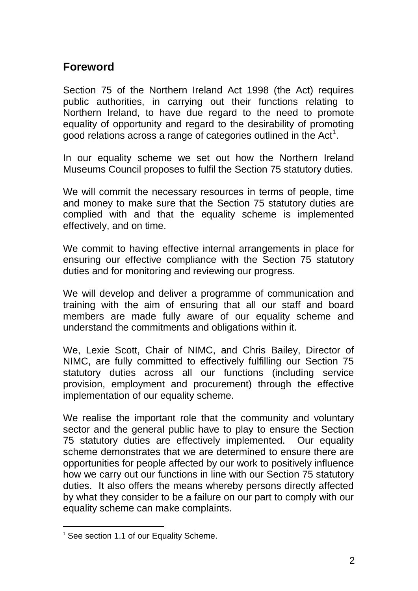## **Foreword**

Section 75 of the Northern Ireland Act 1998 (the Act) requires public authorities, in carrying out their functions relating to Northern Ireland, to have due regard to the need to promote equality of opportunity and regard to the desirability of promoting good relations across a range of categories outlined in the Act<sup>1</sup>.

In our equality scheme we set out how the Northern Ireland Museums Council proposes to fulfil the Section 75 statutory duties.

We will commit the necessary resources in terms of people, time and money to make sure that the Section 75 statutory duties are complied with and that the equality scheme is implemented effectively, and on time.

We commit to having effective internal arrangements in place for ensuring our effective compliance with the Section 75 statutory duties and for monitoring and reviewing our progress.

We will develop and deliver a programme of communication and training with the aim of ensuring that all our staff and board members are made fully aware of our equality scheme and understand the commitments and obligations within it.

We, Lexie Scott, Chair of NIMC, and Chris Bailey, Director of NIMC, are fully committed to effectively fulfilling our Section 75 statutory duties across all our functions (including service provision, employment and procurement) through the effective implementation of our equality scheme.

We realise the important role that the community and voluntary sector and the general public have to play to ensure the Section 75 statutory duties are effectively implemented. Our equality scheme demonstrates that we are determined to ensure there are opportunities for people affected by our work to positively influence how we carry out our functions in line with our Section 75 statutory duties. It also offers the means whereby persons directly affected by what they consider to be a failure on our part to comply with our equality scheme can make complaints.

 $\overline{a}$ 

<sup>&</sup>lt;sup>1</sup> See section 1.1 of our Equality Scheme.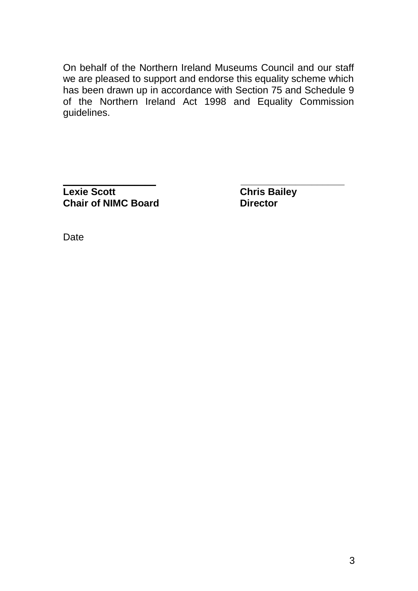On behalf of the Northern Ireland Museums Council and our staff we are pleased to support and endorse this equality scheme which has been drawn up in accordance with Section 75 and Schedule 9 of the Northern Ireland Act 1998 and Equality Commission guidelines.

**\_\_\_\_\_\_\_\_\_\_\_\_\_\_\_\_\_ \_\_\_\_\_\_\_\_\_\_\_\_\_\_\_\_\_\_\_ Lexie Scott Chris Bailey Chair of NIMC Board Director** 

**Date**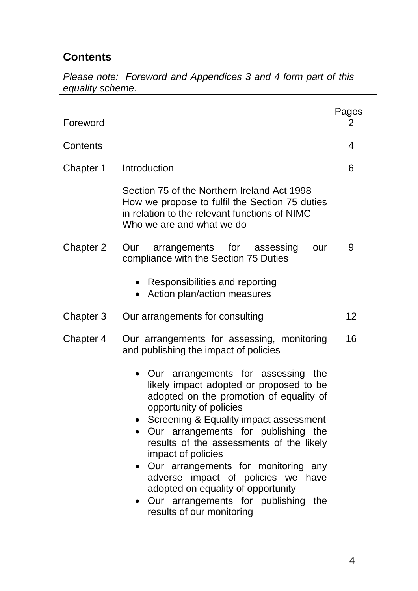## **Contents**

*Please note: Foreword and Appendices 3 and 4 form part of this equality scheme.*

| Foreword  |                                                                                                                                                                                                                                                                                                                                                                                                                                                                                                   | Pages<br>2 |
|-----------|---------------------------------------------------------------------------------------------------------------------------------------------------------------------------------------------------------------------------------------------------------------------------------------------------------------------------------------------------------------------------------------------------------------------------------------------------------------------------------------------------|------------|
| Contents  |                                                                                                                                                                                                                                                                                                                                                                                                                                                                                                   | 4          |
| Chapter 1 | Introduction                                                                                                                                                                                                                                                                                                                                                                                                                                                                                      | 6          |
|           | Section 75 of the Northern Ireland Act 1998<br>How we propose to fulfil the Section 75 duties<br>in relation to the relevant functions of NIMC<br>Who we are and what we do                                                                                                                                                                                                                                                                                                                       |            |
| Chapter 2 | arrangements for assessing<br>Our<br>our<br>compliance with the Section 75 Duties                                                                                                                                                                                                                                                                                                                                                                                                                 | 9          |
|           | Responsibilities and reporting<br>Action plan/action measures                                                                                                                                                                                                                                                                                                                                                                                                                                     |            |
| Chapter 3 | Our arrangements for consulting                                                                                                                                                                                                                                                                                                                                                                                                                                                                   | 12         |
| Chapter 4 | Our arrangements for assessing, monitoring<br>and publishing the impact of policies                                                                                                                                                                                                                                                                                                                                                                                                               | 16         |
|           | • Our arrangements for assessing the<br>likely impact adopted or proposed to be<br>adopted on the promotion of equality of<br>opportunity of policies<br>Screening & Equality impact assessment<br>Our arrangements for publishing the<br>results of the assessments of the likely<br>impact of policies<br>• Our arrangements for monitoring any<br>adverse impact of policies we have<br>adopted on equality of opportunity<br>Our arrangements for publishing the<br>results of our monitoring |            |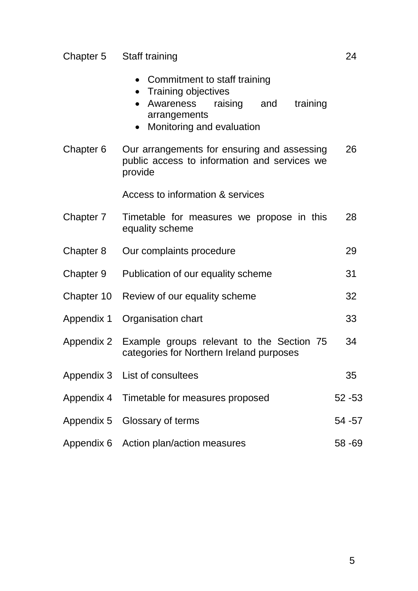#### Chapter 5 Staff training 24

- Training objectives
- Awareness raising and training arrangements
- Monitoring and evaluation
- Chapter 6 Our arrangements for ensuring and assessing public access to information and services we provide 26

Access to information & services

| Chapter 7 | Timetable for measures we propose in this<br>equality scheme                                     | 28        |
|-----------|--------------------------------------------------------------------------------------------------|-----------|
| Chapter 8 | Our complaints procedure                                                                         | 29        |
| Chapter 9 | Publication of our equality scheme                                                               | 31        |
|           | Chapter 10 Review of our equality scheme                                                         | 32        |
|           | Appendix 1 Organisation chart                                                                    | 33        |
|           | Appendix 2 Example groups relevant to the Section 75<br>categories for Northern Ireland purposes | 34        |
|           | Appendix 3 List of consultees                                                                    | 35        |
|           | Appendix 4 Timetable for measures proposed                                                       | $52 - 53$ |
|           | Appendix 5 Glossary of terms                                                                     | 54 - 57   |
|           | Appendix 6 Action plan/action measures                                                           | $58 - 69$ |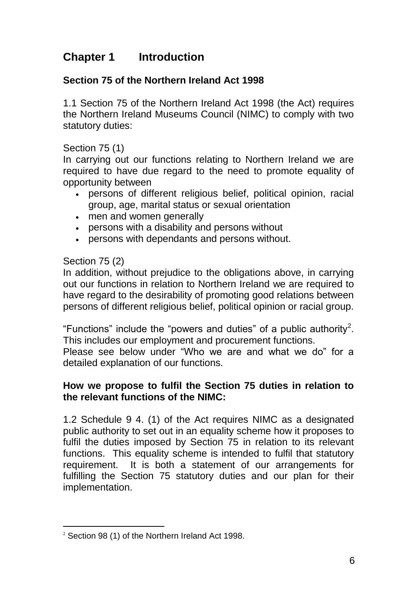## **Chapter 1 Introduction**

## **Section 75 of the Northern Ireland Act 1998**

1.1 Section 75 of the Northern Ireland Act 1998 (the Act) requires the Northern Ireland Museums Council (NIMC) to comply with two statutory duties:

#### Section 75 (1)

In carrying out our functions relating to Northern Ireland we are required to have due regard to the need to promote equality of opportunity between

- persons of different religious belief, political opinion, racial group, age, marital status or sexual orientation
- men and women generally
- persons with a disability and persons without
- persons with dependants and persons without.

#### Section 75 (2)

In addition, without prejudice to the obligations above, in carrying out our functions in relation to Northern Ireland we are required to have regard to the desirability of promoting good relations between persons of different religious belief, political opinion or racial group.

"Functions" include the "powers and duties" of a public authority<sup>2</sup>. This includes our employment and procurement functions.

Please see below under "Who we are and what we do" for a detailed explanation of our functions.

### **How we propose to fulfil the Section 75 duties in relation to the relevant functions of the NIMC:**

1.2 Schedule 9 4. (1) of the Act requires NIMC as a designated public authority to set out in an equality scheme how it proposes to fulfil the duties imposed by Section 75 in relation to its relevant functions. This equality scheme is intended to fulfil that statutory requirement. It is both a statement of our arrangements for fulfilling the Section 75 statutory duties and our plan for their implementation.

 $\overline{a}$ <sup>2</sup> Section 98 (1) of the Northern Ireland Act 1998.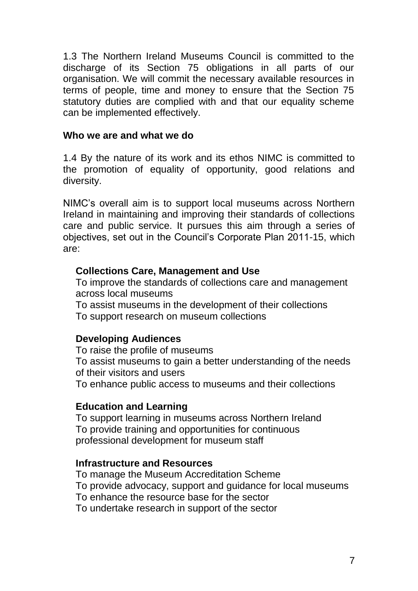1.3 The Northern Ireland Museums Council is committed to the discharge of its Section 75 obligations in all parts of our organisation. We will commit the necessary available resources in terms of people, time and money to ensure that the Section 75 statutory duties are complied with and that our equality scheme can be implemented effectively.

#### **Who we are and what we do**

1.4 By the nature of its work and its ethos NIMC is committed to the promotion of equality of opportunity, good relations and diversity.

NIMC's overall aim is to support local museums across Northern Ireland in maintaining and improving their standards of collections care and public service. It pursues this aim through a series of objectives, set out in the Council's Corporate Plan 2011-15, which are:

#### **Collections Care, Management and Use**

To improve the standards of collections care and management across local museums

To assist museums in the development of their collections To support research on museum collections

## **Developing Audiences**

To raise the profile of museums To assist museums to gain a better understanding of the needs of their visitors and users To enhance public access to museums and their collections

### **Education and Learning**

To support learning in museums across Northern Ireland To provide training and opportunities for continuous professional development for museum staff

### **Infrastructure and Resources**

To manage the Museum Accreditation Scheme To provide advocacy, support and guidance for local museums To enhance the resource base for the sector To undertake research in support of the sector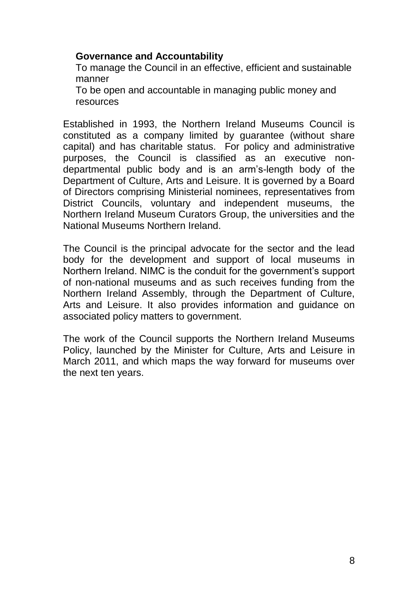### **Governance and Accountability**

To manage the Council in an effective, efficient and sustainable manner

To be open and accountable in managing public money and resources

Established in 1993, the Northern Ireland Museums Council is constituted as a company limited by guarantee (without share capital) and has charitable status. For policy and administrative purposes, the Council is classified as an executive nondepartmental public body and is an arm's-length body of the Department of Culture, Arts and Leisure. It is governed by a Board of Directors comprising Ministerial nominees, representatives from District Councils, voluntary and independent museums, the Northern Ireland Museum Curators Group, the universities and the National Museums Northern Ireland.

The Council is the principal advocate for the sector and the lead body for the development and support of local museums in Northern Ireland. NIMC is the conduit for the government's support of non-national museums and as such receives funding from the Northern Ireland Assembly, through the Department of Culture, Arts and Leisure. It also provides information and guidance on associated policy matters to government.

The work of the Council supports the Northern Ireland Museums Policy, launched by the Minister for Culture, Arts and Leisure in March 2011, and which maps the way forward for museums over the next ten years.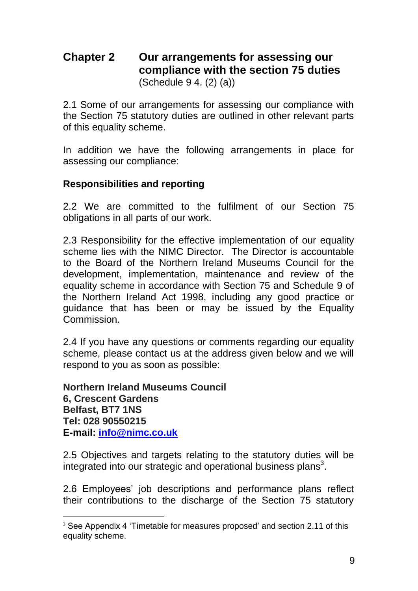## **Chapter 2 Our arrangements for assessing our compliance with the section 75 duties** (Schedule 9 4. (2) (a))

2.1 Some of our arrangements for assessing our compliance with the Section 75 statutory duties are outlined in other relevant parts of this equality scheme.

In addition we have the following arrangements in place for assessing our compliance:

### **Responsibilities and reporting**

2.2 We are committed to the fulfilment of our Section 75 obligations in all parts of our work.

2.3 Responsibility for the effective implementation of our equality scheme lies with the NIMC Director. The Director is accountable to the Board of the Northern Ireland Museums Council for the development, implementation, maintenance and review of the equality scheme in accordance with Section 75 and Schedule 9 of the Northern Ireland Act 1998, including any good practice or guidance that has been or may be issued by the Equality **Commission** 

2.4 If you have any questions or comments regarding our equality scheme, please contact us at the address given below and we will respond to you as soon as possible:

**Northern Ireland Museums Council 6, Crescent Gardens Belfast, BT7 1NS Tel: 028 90550215 E-mail: [info@nimc.co.uk](mailto:info@nimc.co.uk)**

2.5 Objectives and targets relating to the statutory duties will be integrated into our strategic and operational business plans<sup>3</sup>.

2.6 Employees' job descriptions and performance plans reflect their contributions to the discharge of the Section 75 statutory

<sup>&</sup>lt;sup>3</sup> See Appendix 4 'Timetable for measures proposed' and section 2.11 of this equality scheme.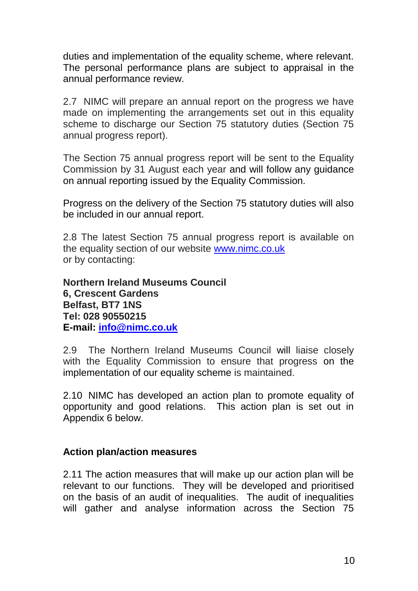duties and implementation of the equality scheme, where relevant. The personal performance plans are subject to appraisal in the annual performance review.

2.7 NIMC will prepare an annual report on the progress we have made on implementing the arrangements set out in this equality scheme to discharge our Section 75 statutory duties (Section 75 annual progress report).

The Section 75 annual progress report will be sent to the Equality Commission by 31 August each year and will follow any guidance on annual reporting issued by the Equality Commission.

Progress on the delivery of the Section 75 statutory duties will also be included in our annual report.

2.8 The latest Section 75 annual progress report is available on the equality section of our website [www.nimc.co.uk](http://www.nimc.co.uk/) or by contacting:

**Northern Ireland Museums Council 6, Crescent Gardens Belfast, BT7 1NS Tel: 028 90550215 E-mail: [info@nimc.co.uk](mailto:info@nimc.co.uk)**

2.9 The Northern Ireland Museums Council will liaise closely with the Equality Commission to ensure that progress on the implementation of our equality scheme is maintained.

2.10 NIMC has developed an action plan to promote equality of opportunity and good relations. This action plan is set out in Appendix 6 below.

#### **Action plan/action measures**

2.11 The action measures that will make up our action plan will be relevant to our functions. They will be developed and prioritised on the basis of an audit of inequalities. The audit of inequalities will gather and analyse information across the Section 75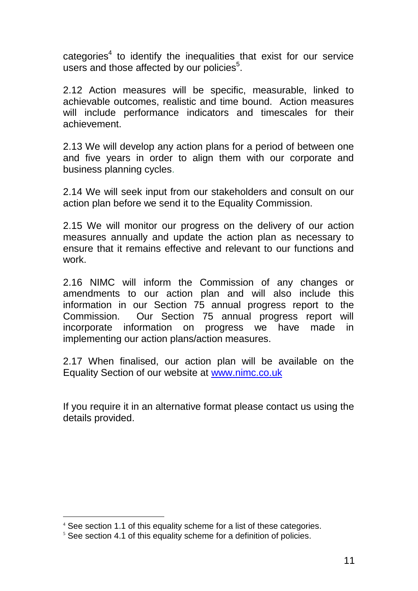categories<sup>4</sup> to identify the inequalities that exist for our service users and those affected by our policies<sup>5</sup>.

2.12 Action measures will be specific, measurable, linked to achievable outcomes, realistic and time bound. Action measures will include performance indicators and timescales for their achievement.

2.13 We will develop any action plans for a period of between one and five years in order to align them with our corporate and business planning cycles.

2.14 We will seek input from our stakeholders and consult on our action plan before we send it to the Equality Commission.

2.15 We will monitor our progress on the delivery of our action measures annually and update the action plan as necessary to ensure that it remains effective and relevant to our functions and work.

2.16 NIMC will inform the Commission of any changes or amendments to our action plan and will also include this information in our Section 75 annual progress report to the Commission. Our Section 75 annual progress report will incorporate information on progress we have made in implementing our action plans/action measures.

2.17 When finalised, our action plan will be available on the Equality Section of our website at [www.nimc.co.uk](http://www.nimc.co.uk/)

If you require it in an alternative format please contact us using the details provided.

<sup>4</sup> See section 1.1 of this equality scheme for a list of these categories.

 $5$  See section 4.1 of this equality scheme for a definition of policies.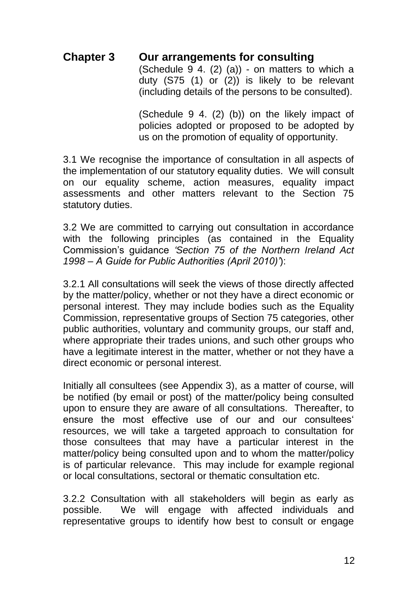## **Chapter 3 Our arrangements for consulting**

(Schedule  $9$  4. (2) (a)) - on matters to which a duty (S75 (1) or (2)) is likely to be relevant (including details of the persons to be consulted).

(Schedule 9 4. (2) (b)) on the likely impact of policies adopted or proposed to be adopted by us on the promotion of equality of opportunity.

3.1 We recognise the importance of consultation in all aspects of the implementation of our statutory equality duties. We will consult on our equality scheme, action measures, equality impact assessments and other matters relevant to the Section 75 statutory duties.

3.2 We are committed to carrying out consultation in accordance with the following principles (as contained in the Equality Commission's guidance *'Section 75 of the Northern Ireland Act 1998 – A Guide for Public Authorities (April 2010)'*):

3.2.1 All consultations will seek the views of those directly affected by the matter/policy, whether or not they have a direct economic or personal interest. They may include bodies such as the Equality Commission, representative groups of Section 75 categories, other public authorities, voluntary and community groups, our staff and, where appropriate their trades unions, and such other groups who have a legitimate interest in the matter, whether or not they have a direct economic or personal interest.

Initially all consultees (see Appendix 3), as a matter of course, will be notified (by email or post) of the matter/policy being consulted upon to ensure they are aware of all consultations. Thereafter, to ensure the most effective use of our and our consultees' resources, we will take a targeted approach to consultation for those consultees that may have a particular interest in the matter/policy being consulted upon and to whom the matter/policy is of particular relevance. This may include for example regional or local consultations, sectoral or thematic consultation etc.

3.2.2 Consultation with all stakeholders will begin as early as possible. We will engage with affected individuals and representative groups to identify how best to consult or engage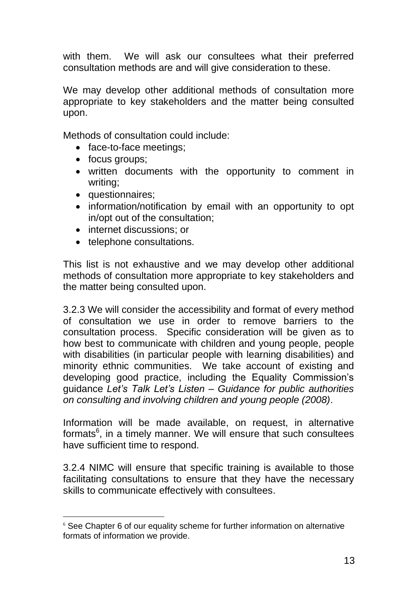with them. We will ask our consultees what their preferred consultation methods are and will give consideration to these.

We may develop other additional methods of consultation more appropriate to key stakeholders and the matter being consulted upon.

Methods of consultation could include:

- face-to-face meetings;
- focus groups;
- written documents with the opportunity to comment in writing;
- questionnaires;

- information/notification by email with an opportunity to opt in/opt out of the consultation;
- internet discussions; or
- telephone consultations.

This list is not exhaustive and we may develop other additional methods of consultation more appropriate to key stakeholders and the matter being consulted upon.

3.2.3 We will consider the accessibility and format of every method of consultation we use in order to remove barriers to the consultation process. Specific consideration will be given as to how best to communicate with children and young people, people with disabilities (in particular people with learning disabilities) and minority ethnic communities. We take account of existing and developing good practice, including the Equality Commission's guidance *Let's Talk Let's Listen – Guidance for public authorities on consulting and involving children and young people (2008)*.

Information will be made available, on request, in alternative formats<sup>6</sup>, in a timely manner. We will ensure that such consultees have sufficient time to respond.

3.2.4 NIMC will ensure that specific training is available to those facilitating consultations to ensure that they have the necessary skills to communicate effectively with consultees.

<sup>&</sup>lt;sup>6</sup> See Chapter 6 of our equality scheme for further information on alternative formats of information we provide.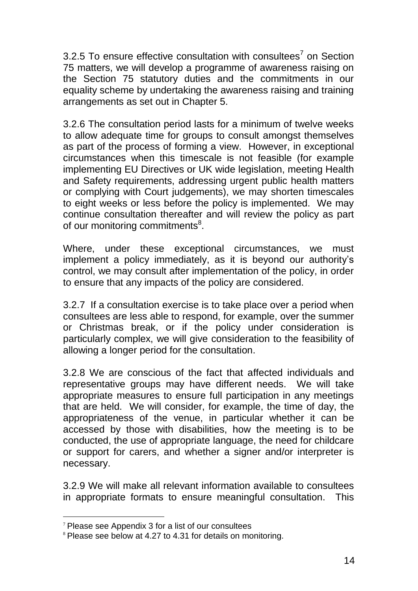3.2.5 To ensure effective consultation with consultees<sup>7</sup> on Section 75 matters, we will develop a programme of awareness raising on the Section 75 statutory duties and the commitments in our equality scheme by undertaking the awareness raising and training arrangements as set out in Chapter 5.

3.2.6 The consultation period lasts for a minimum of twelve weeks to allow adequate time for groups to consult amongst themselves as part of the process of forming a view. However, in exceptional circumstances when this timescale is not feasible (for example implementing EU Directives or UK wide legislation, meeting Health and Safety requirements, addressing urgent public health matters or complying with Court judgements), we may shorten timescales to eight weeks or less before the policy is implemented. We may continue consultation thereafter and will review the policy as part of our monitoring commitments<sup>8</sup>.

Where, under these exceptional circumstances, we must implement a policy immediately, as it is beyond our authority's control, we may consult after implementation of the policy, in order to ensure that any impacts of the policy are considered.

3.2.7 If a consultation exercise is to take place over a period when consultees are less able to respond, for example, over the summer or Christmas break, or if the policy under consideration is particularly complex, we will give consideration to the feasibility of allowing a longer period for the consultation.

3.2.8 We are conscious of the fact that affected individuals and representative groups may have different needs. We will take appropriate measures to ensure full participation in any meetings that are held. We will consider, for example, the time of day, the appropriateness of the venue, in particular whether it can be accessed by those with disabilities, how the meeting is to be conducted, the use of appropriate language, the need for childcare or support for carers, and whether a signer and/or interpreter is necessary.

3.2.9 We will make all relevant information available to consultees in appropriate formats to ensure meaningful consultation. This

<sup>7</sup> Please see Appendix 3 for a list of our consultees

<sup>&</sup>lt;sup>8</sup> Please see below at 4.27 to 4.31 for details on monitoring.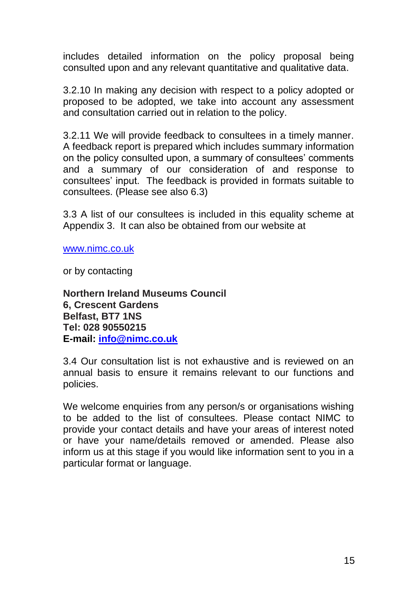includes detailed information on the policy proposal being consulted upon and any relevant quantitative and qualitative data.

3.2.10 In making any decision with respect to a policy adopted or proposed to be adopted, we take into account any assessment and consultation carried out in relation to the policy.

3.2.11 We will provide feedback to consultees in a timely manner. A feedback report is prepared which includes summary information on the policy consulted upon, a summary of consultees' comments and a summary of our consideration of and response to consultees' input. The feedback is provided in formats suitable to consultees. (Please see also 6.3)

3.3 A list of our consultees is included in this equality scheme at Appendix 3. It can also be obtained from our website at

[www.nimc.co.uk](http://www.nimc.co.uk/)

or by contacting

**Northern Ireland Museums Council 6, Crescent Gardens Belfast, BT7 1NS Tel: 028 90550215 E-mail: [info@nimc.co.uk](mailto:info@nimc.co.uk)**

3.4 Our consultation list is not exhaustive and is reviewed on an annual basis to ensure it remains relevant to our functions and policies.

We welcome enquiries from any person/s or organisations wishing to be added to the list of consultees. Please contact NIMC to provide your contact details and have your areas of interest noted or have your name/details removed or amended. Please also inform us at this stage if you would like information sent to you in a particular format or language.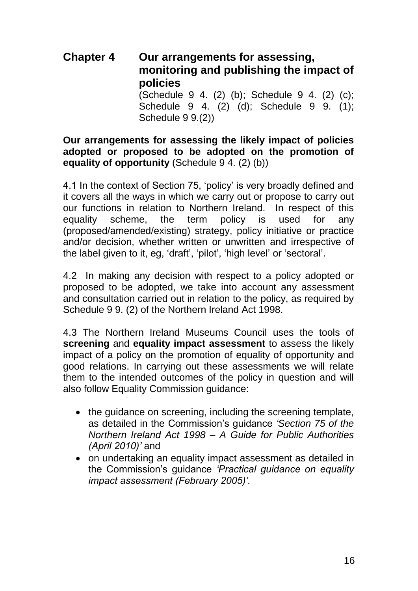## **Chapter 4 Our arrangements for assessing, monitoring and publishing the impact of policies** (Schedule 9 4. (2) (b); Schedule 9 4. (2) (c);

Schedule 9 4. (2) (d); Schedule 9 9. (1); Schedule 9 9.(2))

### **Our arrangements for assessing the likely impact of policies adopted or proposed to be adopted on the promotion of equality of opportunity** (Schedule 9 4. (2) (b))

4.1 In the context of Section 75, 'policy' is very broadly defined and it covers all the ways in which we carry out or propose to carry out our functions in relation to Northern Ireland. In respect of this equality scheme, the term policy is used for any (proposed/amended/existing) strategy, policy initiative or practice and/or decision, whether written or unwritten and irrespective of the label given to it, eg, 'draft', 'pilot', 'high level' or 'sectoral'.

4.2 In making any decision with respect to a policy adopted or proposed to be adopted, we take into account any assessment and consultation carried out in relation to the policy, as required by Schedule 9 9. (2) of the Northern Ireland Act 1998.

4.3 The Northern Ireland Museums Council uses the tools of **screening** and **equality impact assessment** to assess the likely impact of a policy on the promotion of equality of opportunity and good relations. In carrying out these assessments we will relate them to the intended outcomes of the policy in question and will also follow Equality Commission guidance:

- the guidance on screening, including the screening template, as detailed in the Commission's guidance *'Section 75 of the Northern Ireland Act 1998 – A Guide for Public Authorities (April 2010)'* and
- on undertaking an equality impact assessment as detailed in the Commission's guidance *'Practical guidance on equality impact assessment (February 2005)'.*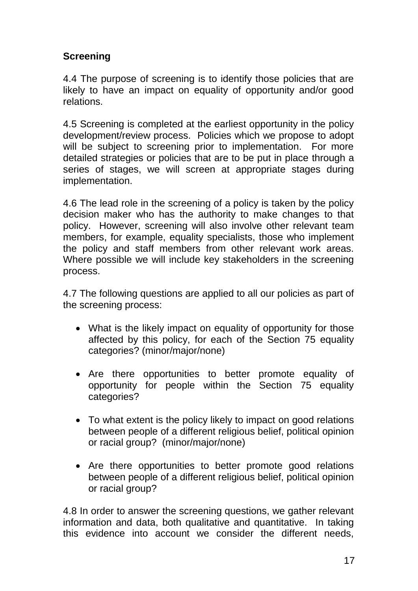## **Screening**

4.4 The purpose of screening is to identify those policies that are likely to have an impact on equality of opportunity and/or good relations.

4.5 Screening is completed at the earliest opportunity in the policy development/review process. Policies which we propose to adopt will be subject to screening prior to implementation. For more detailed strategies or policies that are to be put in place through a series of stages, we will screen at appropriate stages during implementation.

4.6 The lead role in the screening of a policy is taken by the policy decision maker who has the authority to make changes to that policy. However, screening will also involve other relevant team members, for example, equality specialists, those who implement the policy and staff members from other relevant work areas. Where possible we will include key stakeholders in the screening process.

4.7 The following questions are applied to all our policies as part of the screening process:

- What is the likely impact on equality of opportunity for those affected by this policy, for each of the Section 75 equality categories? (minor/major/none)
- Are there opportunities to better promote equality of opportunity for people within the Section 75 equality categories?
- To what extent is the policy likely to impact on good relations between people of a different religious belief, political opinion or racial group? (minor/major/none)
- Are there opportunities to better promote good relations between people of a different religious belief, political opinion or racial group?

4.8 In order to answer the screening questions, we gather relevant information and data, both qualitative and quantitative. In taking this evidence into account we consider the different needs,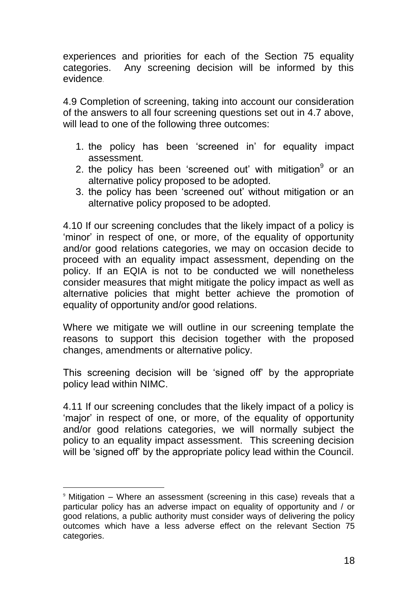experiences and priorities for each of the Section 75 equality categories. Any screening decision will be informed by this evidence.

4.9 Completion of screening, taking into account our consideration of the answers to all four screening questions set out in 4.7 above, will lead to one of the following three outcomes:

- 1. the policy has been 'screened in' for equality impact assessment.
- 2. the policy has been 'screened out' with mitigation<sup>9</sup> or an alternative policy proposed to be adopted.
- 3. the policy has been 'screened out' without mitigation or an alternative policy proposed to be adopted.

4.10 If our screening concludes that the likely impact of a policy is 'minor' in respect of one, or more, of the equality of opportunity and/or good relations categories, we may on occasion decide to proceed with an equality impact assessment, depending on the policy. If an EQIA is not to be conducted we will nonetheless consider measures that might mitigate the policy impact as well as alternative policies that might better achieve the promotion of equality of opportunity and/or good relations.

Where we mitigate we will outline in our screening template the reasons to support this decision together with the proposed changes, amendments or alternative policy.

This screening decision will be 'signed off' by the appropriate policy lead within NIMC.

4.11 If our screening concludes that the likely impact of a policy is 'major' in respect of one, or more, of the equality of opportunity and/or good relations categories, we will normally subject the policy to an equality impact assessment. This screening decision will be 'signed off' by the appropriate policy lead within the Council.

l

 $9$  Mitigation – Where an assessment (screening in this case) reveals that a particular policy has an adverse impact on equality of opportunity and / or good relations, a public authority must consider ways of delivering the policy outcomes which have a less adverse effect on the relevant Section 75 categories.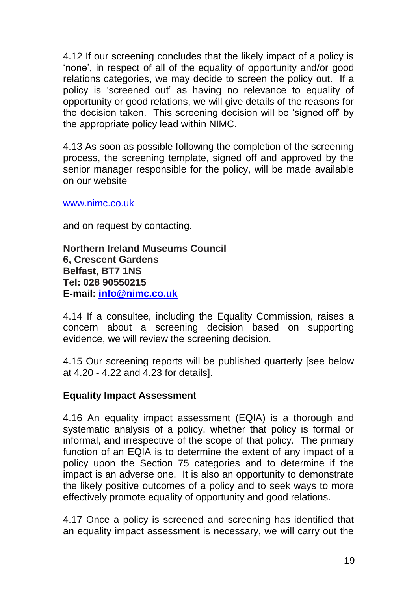4.12 If our screening concludes that the likely impact of a policy is 'none', in respect of all of the equality of opportunity and/or good relations categories, we may decide to screen the policy out. If a policy is 'screened out' as having no relevance to equality of opportunity or good relations, we will give details of the reasons for the decision taken. This screening decision will be 'signed off' by the appropriate policy lead within NIMC.

4.13 As soon as possible following the completion of the screening process, the screening template, signed off and approved by the senior manager responsible for the policy, will be made available on our website

www.nimc.co.uk

and on request by contacting.

**Northern Ireland Museums Council 6, Crescent Gardens Belfast, BT7 1NS Tel: 028 90550215 E-mail: [info@nimc.co.uk](mailto:info@nimc.co.uk)**

4.14 If a consultee, including the Equality Commission, raises a concern about a screening decision based on supporting evidence, we will review the screening decision.

4.15 Our screening reports will be published quarterly [see below at 4.20 - 4.22 and 4.23 for details].

#### **Equality Impact Assessment**

4.16 An equality impact assessment (EQIA) is a thorough and systematic analysis of a policy, whether that policy is formal or informal, and irrespective of the scope of that policy. The primary function of an EQIA is to determine the extent of any impact of a policy upon the Section 75 categories and to determine if the impact is an adverse one. It is also an opportunity to demonstrate the likely positive outcomes of a policy and to seek ways to more effectively promote equality of opportunity and good relations.

4.17 Once a policy is screened and screening has identified that an equality impact assessment is necessary, we will carry out the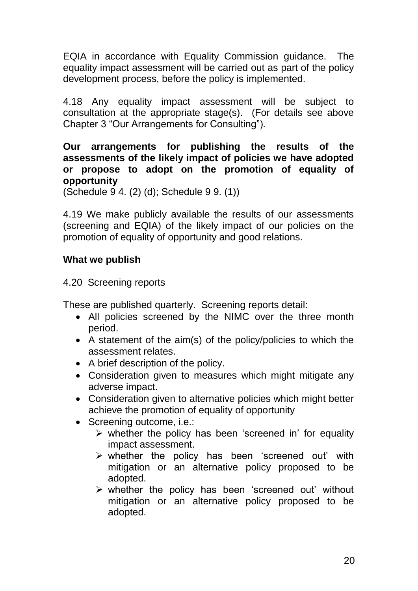EQIA in accordance with Equality Commission guidance. The equality impact assessment will be carried out as part of the policy development process, before the policy is implemented.

4.18 Any equality impact assessment will be subject to consultation at the appropriate stage(s). (For details see above Chapter 3 "Our Arrangements for Consulting").

**Our arrangements for publishing the results of the assessments of the likely impact of policies we have adopted or propose to adopt on the promotion of equality of opportunity**

(Schedule 9 4. (2) (d); Schedule 9 9. (1))

4.19 We make publicly available the results of our assessments (screening and EQIA) of the likely impact of our policies on the promotion of equality of opportunity and good relations.

## **What we publish**

4.20 Screening reports

These are published quarterly. Screening reports detail:

- All policies screened by the NIMC over the three month period.
- A statement of the aim(s) of the policy/policies to which the assessment relates.
- A brief description of the policy.
- Consideration given to measures which might mitigate any adverse impact.
- Consideration given to alternative policies which might better achieve the promotion of equality of opportunity
- Screening outcome, i.e.:
	- $\triangleright$  whether the policy has been 'screened in' for equality impact assessment.
	- $\triangleright$  whether the policy has been 'screened out' with mitigation or an alternative policy proposed to be adopted.
	- $\triangleright$  whether the policy has been 'screened out' without mitigation or an alternative policy proposed to be adopted.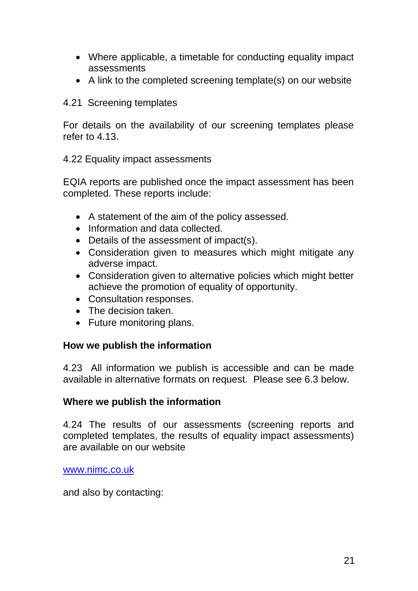- Where applicable, a timetable for conducting equality impact assessments
- A link to the completed screening template(s) on our website
- 4.21 Screening templates

For details on the availability of our screening templates please refer to 4.13.

### 4.22 Equality impact assessments

EQIA reports are published once the impact assessment has been completed. These reports include:

- A statement of the aim of the policy assessed.
- Information and data collected.
- Details of the assessment of impact(s).
- Consideration given to measures which might mitigate any adverse impact.
- Consideration given to alternative policies which might better achieve the promotion of equality of opportunity.
- Consultation responses.
- The decision taken.
- Future monitoring plans.

### **How we publish the information**

4.23 All information we publish is accessible and can be made available in alternative formats on request. Please see 6.3 below.

### **Where we publish the information**

4.24 The results of our assessments (screening reports and completed templates, the results of equality impact assessments) are available on our website

[www.nimc.co.uk](http://www.nimc.co.uk/)

and also by contacting: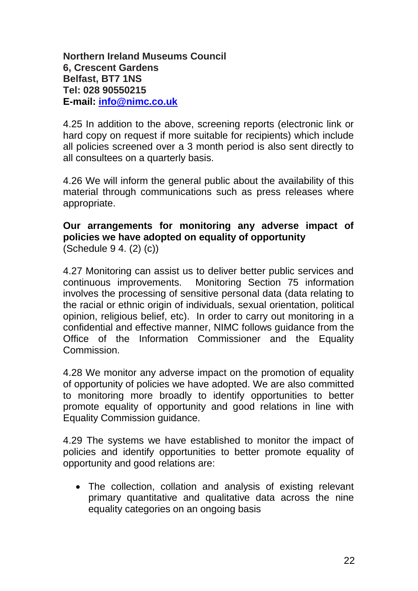**Northern Ireland Museums Council 6, Crescent Gardens Belfast, BT7 1NS Tel: 028 90550215 E-mail: [info@nimc.co.uk](mailto:info@nimc.co.uk)**

4.25 In addition to the above, screening reports (electronic link or hard copy on request if more suitable for recipients) which include all policies screened over a 3 month period is also sent directly to all consultees on a quarterly basis.

4.26 We will inform the general public about the availability of this material through communications such as press releases where appropriate.

### **Our arrangements for monitoring any adverse impact of policies we have adopted on equality of opportunity** (Schedule 9 4. (2) (c))

4.27 Monitoring can assist us to deliver better public services and continuous improvements. Monitoring Section 75 information involves the processing of sensitive personal data (data relating to the racial or ethnic origin of individuals, sexual orientation, political opinion, religious belief, etc). In order to carry out monitoring in a confidential and effective manner, NIMC follows guidance from the Office of the Information Commissioner and the Equality Commission.

4.28 We monitor any adverse impact on the promotion of equality of opportunity of policies we have adopted. We are also committed to monitoring more broadly to identify opportunities to better promote equality of opportunity and good relations in line with Equality Commission guidance.

4.29 The systems we have established to monitor the impact of policies and identify opportunities to better promote equality of opportunity and good relations are:

 The collection, collation and analysis of existing relevant primary quantitative and qualitative data across the nine equality categories on an ongoing basis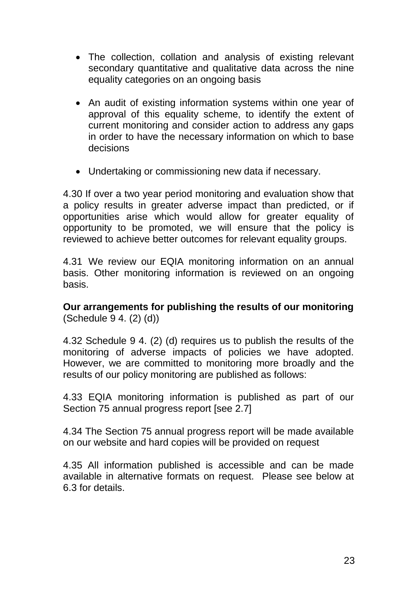- The collection, collation and analysis of existing relevant secondary quantitative and qualitative data across the nine equality categories on an ongoing basis
- An audit of existing information systems within one year of approval of this equality scheme, to identify the extent of current monitoring and consider action to address any gaps in order to have the necessary information on which to base decisions
- Undertaking or commissioning new data if necessary.

4.30 If over a two year period monitoring and evaluation show that a policy results in greater adverse impact than predicted, or if opportunities arise which would allow for greater equality of opportunity to be promoted, we will ensure that the policy is reviewed to achieve better outcomes for relevant equality groups.

4.31 We review our EQIA monitoring information on an annual basis. Other monitoring information is reviewed on an ongoing basis.

**Our arrangements for publishing the results of our monitoring** (Schedule 9 4. (2) (d))

4.32 Schedule 9 4. (2) (d) requires us to publish the results of the monitoring of adverse impacts of policies we have adopted. However, we are committed to monitoring more broadly and the results of our policy monitoring are published as follows:

4.33 EQIA monitoring information is published as part of our Section 75 annual progress report [see 2.7]

4.34 The Section 75 annual progress report will be made available on our website and hard copies will be provided on request

4.35 All information published is accessible and can be made available in alternative formats on request. Please see below at 6.3 for details.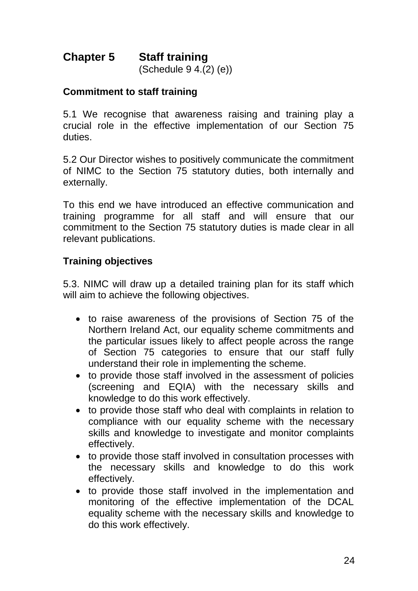# **Chapter 5 Staff training**

(Schedule 9 4.(2) (e))

#### **Commitment to staff training**

5.1 We recognise that awareness raising and training play a crucial role in the effective implementation of our Section 75 duties.

5.2 Our Director wishes to positively communicate the commitment of NIMC to the Section 75 statutory duties, both internally and externally.

To this end we have introduced an effective communication and training programme for all staff and will ensure that our commitment to the Section 75 statutory duties is made clear in all relevant publications.

### **Training objectives**

5.3. NIMC will draw up a detailed training plan for its staff which will aim to achieve the following objectives.

- to raise awareness of the provisions of Section 75 of the Northern Ireland Act, our equality scheme commitments and the particular issues likely to affect people across the range of Section 75 categories to ensure that our staff fully understand their role in implementing the scheme.
- to provide those staff involved in the assessment of policies (screening and EQIA) with the necessary skills and knowledge to do this work effectively.
- to provide those staff who deal with complaints in relation to compliance with our equality scheme with the necessary skills and knowledge to investigate and monitor complaints effectively.
- to provide those staff involved in consultation processes with the necessary skills and knowledge to do this work effectively.
- to provide those staff involved in the implementation and monitoring of the effective implementation of the DCAL equality scheme with the necessary skills and knowledge to do this work effectively.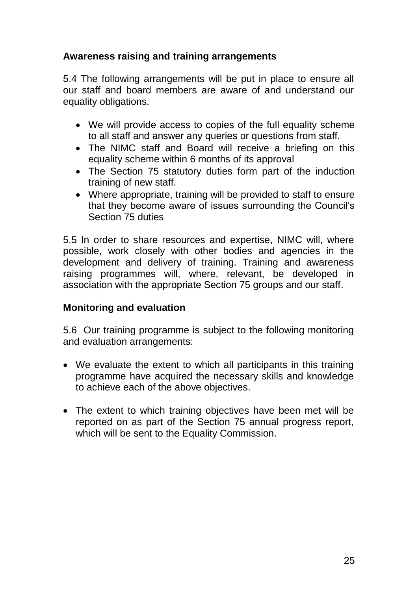## **Awareness raising and training arrangements**

5.4 The following arrangements will be put in place to ensure all our staff and board members are aware of and understand our equality obligations.

- We will provide access to copies of the full equality scheme to all staff and answer any queries or questions from staff.
- The NIMC staff and Board will receive a briefing on this equality scheme within 6 months of its approval
- The Section 75 statutory duties form part of the induction training of new staff.
- Where appropriate, training will be provided to staff to ensure that they become aware of issues surrounding the Council's Section 75 duties

5.5 In order to share resources and expertise, NIMC will, where possible, work closely with other bodies and agencies in the development and delivery of training. Training and awareness raising programmes will, where, relevant, be developed in association with the appropriate Section 75 groups and our staff.

### **Monitoring and evaluation**

5.6 Our training programme is subject to the following monitoring and evaluation arrangements:

- We evaluate the extent to which all participants in this training programme have acquired the necessary skills and knowledge to achieve each of the above objectives.
- The extent to which training objectives have been met will be reported on as part of the Section 75 annual progress report, which will be sent to the Equality Commission.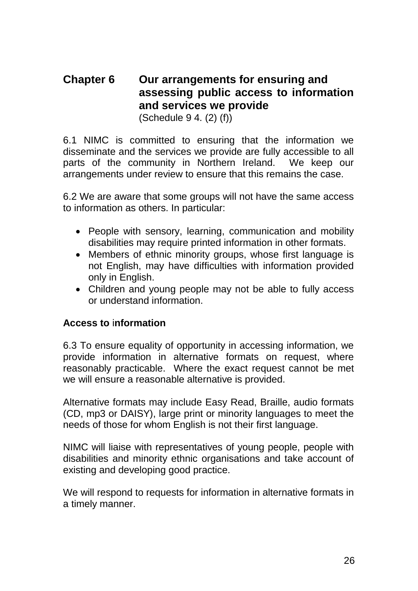## **Chapter 6 Our arrangements for ensuring and assessing public access to information and services we provide**

(Schedule 9 4. (2) (f))

6.1 NIMC is committed to ensuring that the information we disseminate and the services we provide are fully accessible to all parts of the community in Northern Ireland. We keep our arrangements under review to ensure that this remains the case.

6.2 We are aware that some groups will not have the same access to information as others. In particular:

- People with sensory, learning, communication and mobility disabilities may require printed information in other formats.
- Members of ethnic minority groups, whose first language is not English, may have difficulties with information provided only in English.
- Children and young people may not be able to fully access or understand information.

### **Access to** i**nformation**

6.3 To ensure equality of opportunity in accessing information, we provide information in alternative formats on request, where reasonably practicable. Where the exact request cannot be met we will ensure a reasonable alternative is provided.

Alternative formats may include Easy Read, Braille, audio formats (CD, mp3 or DAISY), large print or minority languages to meet the needs of those for whom English is not their first language.

NIMC will liaise with representatives of young people, people with disabilities and minority ethnic organisations and take account of existing and developing good practice.

We will respond to requests for information in alternative formats in a timely manner.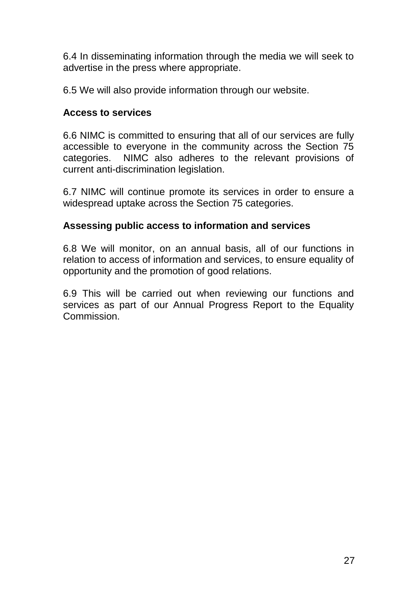6.4 In disseminating information through the media we will seek to advertise in the press where appropriate.

6.5 We will also provide information through our website.

#### **Access to services**

6.6 NIMC is committed to ensuring that all of our services are fully accessible to everyone in the community across the Section 75 categories. NIMC also adheres to the relevant provisions of current anti-discrimination legislation.

6.7 NIMC will continue promote its services in order to ensure a widespread uptake across the Section 75 categories.

### **Assessing public access to information and services**

6.8 We will monitor, on an annual basis, all of our functions in relation to access of information and services, to ensure equality of opportunity and the promotion of good relations.

6.9 This will be carried out when reviewing our functions and services as part of our Annual Progress Report to the Equality Commission.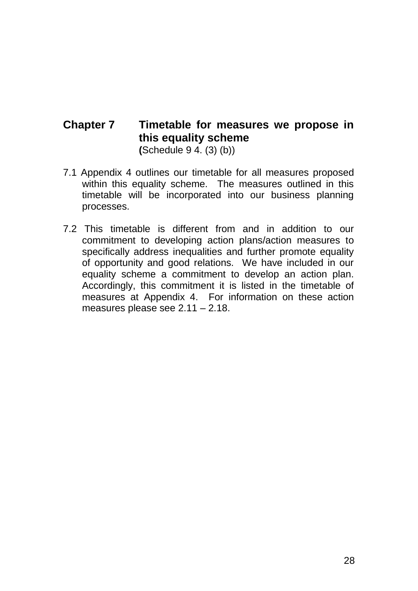## **Chapter 7 Timetable for measures we propose in this equality scheme (**Schedule 9 4. (3) (b))

- 7.1 Appendix 4 outlines our timetable for all measures proposed within this equality scheme. The measures outlined in this timetable will be incorporated into our business planning processes.
- 7.2 This timetable is different from and in addition to our commitment to developing action plans/action measures to specifically address inequalities and further promote equality of opportunity and good relations. We have included in our equality scheme a commitment to develop an action plan. Accordingly, this commitment it is listed in the timetable of measures at Appendix 4. For information on these action measures please see 2.11 – 2.18.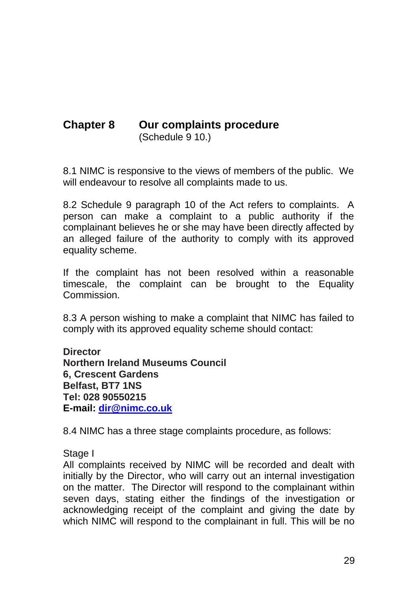## **Chapter 8 Our complaints procedure**  (Schedule 9 10.)

8.1 NIMC is responsive to the views of members of the public. We will endeavour to resolve all complaints made to us.

8.2 Schedule 9 paragraph 10 of the Act refers to complaints. A person can make a complaint to a public authority if the complainant believes he or she may have been directly affected by an alleged failure of the authority to comply with its approved equality scheme.

If the complaint has not been resolved within a reasonable timescale, the complaint can be brought to the Equality **Commission** 

8.3 A person wishing to make a complaint that NIMC has failed to comply with its approved equality scheme should contact:

**Director Northern Ireland Museums Council 6, Crescent Gardens Belfast, BT7 1NS Tel: 028 90550215 E-mail: [dir@nimc.co.uk](mailto:dir@nimc.co.uk)**

8.4 NIMC has a three stage complaints procedure, as follows:

Stage I

All complaints received by NIMC will be recorded and dealt with initially by the Director, who will carry out an internal investigation on the matter. The Director will respond to the complainant within seven days, stating either the findings of the investigation or acknowledging receipt of the complaint and giving the date by which NIMC will respond to the complainant in full. This will be no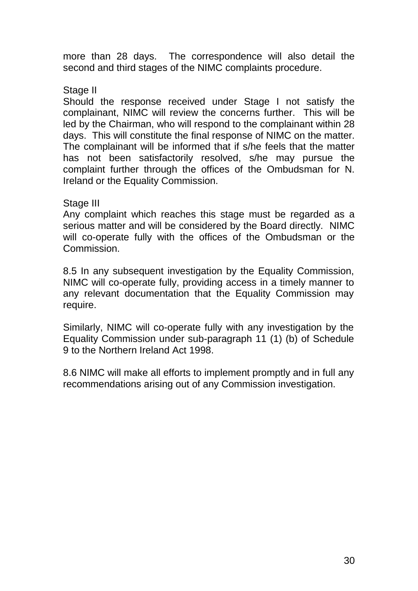more than 28 days. The correspondence will also detail the second and third stages of the NIMC complaints procedure.

#### Stage II

Should the response received under Stage I not satisfy the complainant, NIMC will review the concerns further. This will be led by the Chairman, who will respond to the complainant within 28 days. This will constitute the final response of NIMC on the matter. The complainant will be informed that if s/he feels that the matter has not been satisfactorily resolved, s/he may pursue the complaint further through the offices of the Ombudsman for N. Ireland or the Equality Commission.

#### Stage III

Any complaint which reaches this stage must be regarded as a serious matter and will be considered by the Board directly. NIMC will co-operate fully with the offices of the Ombudsman or the **Commission** 

8.5 In any subsequent investigation by the Equality Commission, NIMC will co-operate fully, providing access in a timely manner to any relevant documentation that the Equality Commission may require.

Similarly, NIMC will co-operate fully with any investigation by the Equality Commission under sub-paragraph 11 (1) (b) of Schedule 9 to the Northern Ireland Act 1998.

8.6 NIMC will make all efforts to implement promptly and in full any recommendations arising out of any Commission investigation.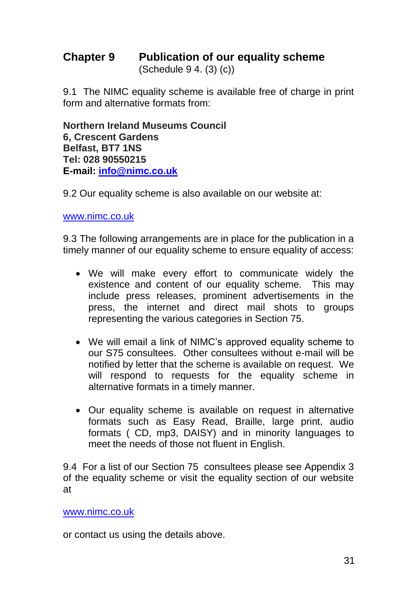# **Chapter 9 Publication of our equality scheme**

(Schedule 9 4. (3) (c))

9.1 The NIMC equality scheme is available free of charge in print form and alternative formats from:

**Northern Ireland Museums Council 6, Crescent Gardens Belfast, BT7 1NS Tel: 028 90550215 E-mail: [info@nimc.co.uk](mailto:info@nimc.co.uk)**

9.2 Our equality scheme is also available on our website at:

www.nimc.co.uk

9.3 The following arrangements are in place for the publication in a timely manner of our equality scheme to ensure equality of access:

- We will make every effort to communicate widely the existence and content of our equality scheme. This may include press releases, prominent advertisements in the press, the internet and direct mail shots to groups representing the various categories in Section 75.
- We will email a link of NIMC's approved equality scheme to our S75 consultees. Other consultees without e-mail will be notified by letter that the scheme is available on request. We will respond to requests for the equality scheme in alternative formats in a timely manner.
- Our equality scheme is available on request in alternative formats such as Easy Read, Braille, large print, audio formats ( CD, mp3, DAISY) and in minority languages to meet the needs of those not fluent in English.

9.4 For a list of our Section 75 consultees please see Appendix 3 of the equality scheme or visit the equality section of our website at

[www.nimc.co.uk](http://www.nimc.co.uk/)

or contact us using the details above.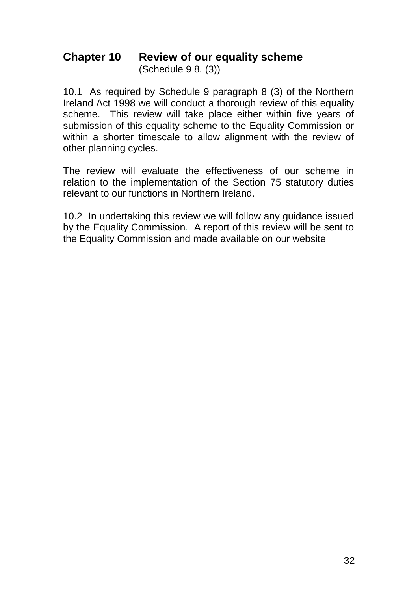## **Chapter 10 Review of our equality scheme** (Schedule 9 8. (3))

10.1 As required by Schedule 9 paragraph 8 (3) of the Northern Ireland Act 1998 we will conduct a thorough review of this equality scheme. This review will take place either within five years of submission of this equality scheme to the Equality Commission or within a shorter timescale to allow alignment with the review of other planning cycles.

The review will evaluate the effectiveness of our scheme in relation to the implementation of the Section 75 statutory duties relevant to our functions in Northern Ireland.

10.2 In undertaking this review we will follow any guidance issued by the Equality Commission. A report of this review will be sent to the Equality Commission and made available on our website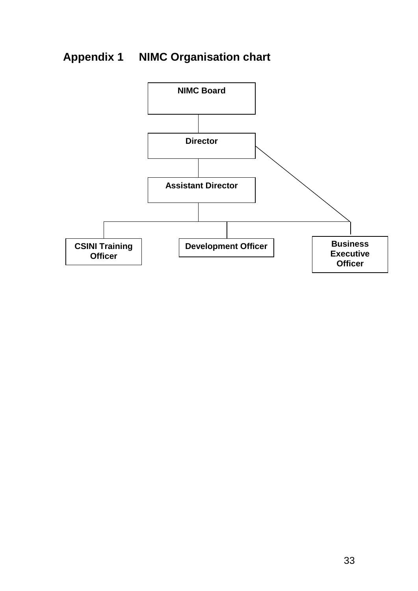# **Appendix 1 NIMC Organisation chart**

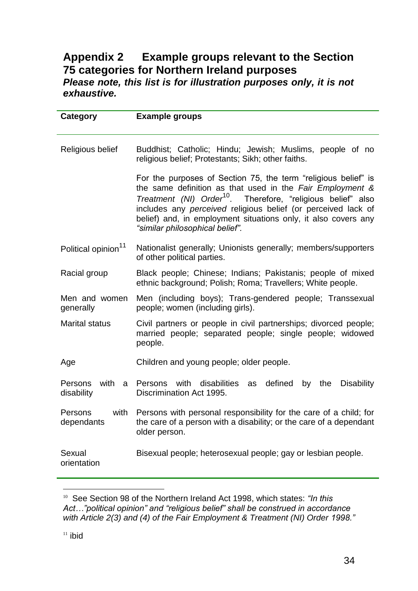## **Appendix 2 Example groups relevant to the Section 75 categories for Northern Ireland purposes**  *Please note, this list is for illustration purposes only, it is not exhaustive.*

| Category                           | <b>Example groups</b>                                                                                                                                                                                                                                                                                                                                                        |
|------------------------------------|------------------------------------------------------------------------------------------------------------------------------------------------------------------------------------------------------------------------------------------------------------------------------------------------------------------------------------------------------------------------------|
| Religious belief                   | Buddhist; Catholic; Hindu; Jewish; Muslims, people of no<br>religious belief; Protestants; Sikh; other faiths.                                                                                                                                                                                                                                                               |
|                                    | For the purposes of Section 75, the term "religious belief" is<br>the same definition as that used in the Fair Employment &<br>Treatment (NI) Order <sup>10</sup> . Therefore, "religious belief" also<br>includes any perceived religious belief (or perceived lack of<br>belief) and, in employment situations only, it also covers any<br>"similar philosophical belief". |
| Political opinion <sup>11</sup>    | Nationalist generally; Unionists generally; members/supporters<br>of other political parties.                                                                                                                                                                                                                                                                                |
| Racial group                       | Black people; Chinese; Indians; Pakistanis; people of mixed<br>ethnic background; Polish; Roma; Travellers; White people.                                                                                                                                                                                                                                                    |
| Men and women<br>generally         | Men (including boys); Trans-gendered people; Transsexual<br>people; women (including girls).                                                                                                                                                                                                                                                                                 |
| <b>Marital status</b>              | Civil partners or people in civil partnerships; divorced people;<br>married people; separated people; single people; widowed<br>people.                                                                                                                                                                                                                                      |
| Age                                | Children and young people; older people.                                                                                                                                                                                                                                                                                                                                     |
| with<br>Persons<br>a<br>disability | with disabilities<br>defined<br>the<br><b>Disability</b><br>Persons<br>as<br>by<br>Discrimination Act 1995.                                                                                                                                                                                                                                                                  |
| with<br>Persons<br>dependants      | Persons with personal responsibility for the care of a child; for<br>the care of a person with a disability; or the care of a dependant<br>older person.                                                                                                                                                                                                                     |
| Sexual<br>orientation              | Bisexual people; heterosexual people; gay or lesbian people.                                                                                                                                                                                                                                                                                                                 |

<sup>&</sup>lt;sup>10</sup> See Section 98 of the Northern Ireland Act 1998, which states: "In this *Act…"political opinion" and "religious belief" shall be construed in accordance with Article 2(3) and (4) of the Fair Employment & Treatment (NI) Order 1998."*

l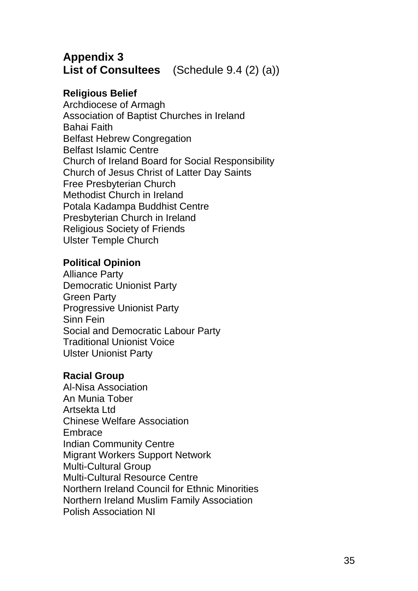## **Appendix 3 List of Consultees** (Schedule 9.4 (2) (a))

## **Religious Belief**

Archdiocese of Armagh Association of Baptist Churches in Ireland Bahai Faith Belfast Hebrew Congregation Belfast Islamic Centre Church of Ireland Board for Social Responsibility Church of Jesus Christ of Latter Day Saints Free Presbyterian Church Methodist Church in Ireland Potala Kadampa Buddhist Centre Presbyterian Church in Ireland Religious Society of Friends Ulster Temple Church

## **Political Opinion**

Alliance Party Democratic Unionist Party Green Party Progressive Unionist Party Sinn Fein Social and Democratic Labour Party Traditional Unionist Voice Ulster Unionist Party

## **Racial Group**

Al-Nisa Association An Munia Tober Artsekta Ltd Chinese Welfare Association Embrace Indian Community Centre Migrant Workers Support Network Multi-Cultural Group Multi-Cultural Resource Centre Northern Ireland Council for Ethnic Minorities Northern Ireland Muslim Family Association Polish Association NI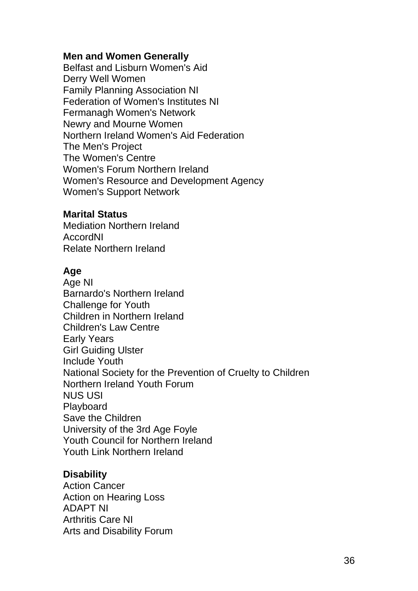#### **Men and Women Generally**

Belfast and Lisburn Women's Aid Derry Well Women Family Planning Association NI Federation of Women's Institutes NI Fermanagh Women's Network Newry and Mourne Women Northern Ireland Women's Aid Federation The Men's Project The Women's Centre Women's Forum Northern Ireland Women's Resource and Development Agency Women's Support Network

#### **Marital Status**

Mediation Northern Ireland AccordNI Relate Northern Ireland

#### **Age**

Age NI Barnardo's Northern Ireland Challenge for Youth Children in Northern Ireland Children's Law Centre Early Years Girl Guiding Ulster Include Youth National Society for the Prevention of Cruelty to Children Northern Ireland Youth Forum NUS USI Playboard Save the Children University of the 3rd Age Foyle Youth Council for Northern Ireland Youth Link Northern Ireland

### **Disability**

Action Cancer Action on Hearing Loss ADAPT NI Arthritis Care NI Arts and Disability Forum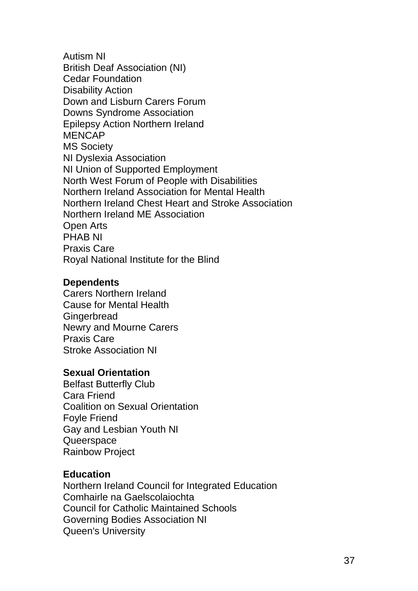Autism NI British Deaf Association (NI) Cedar Foundation Disability Action Down and Lisburn Carers Forum Downs Syndrome Association Epilepsy Action Northern Ireland MENCAP MS Society NI Dyslexia Association NI Union of Supported Employment North West Forum of People with Disabilities Northern Ireland Association for Mental Health Northern Ireland Chest Heart and Stroke Association Northern Ireland ME Association Open Arts PHAB NI Praxis Care Royal National Institute for the Blind

#### **Dependents**

Carers Northern Ireland Cause for Mental Health **Gingerbread** Newry and Mourne Carers Praxis Care Stroke Association NI

#### **Sexual Orientation**

Belfast Butterfly Club Cara Friend Coalition on Sexual Orientation Foyle Friend Gay and Lesbian Youth NI **Queerspace** Rainbow Project

#### **Education**

Northern Ireland Council for Integrated Education Comhairle na Gaelscolaiochta Council for Catholic Maintained Schools Governing Bodies Association NI Queen's University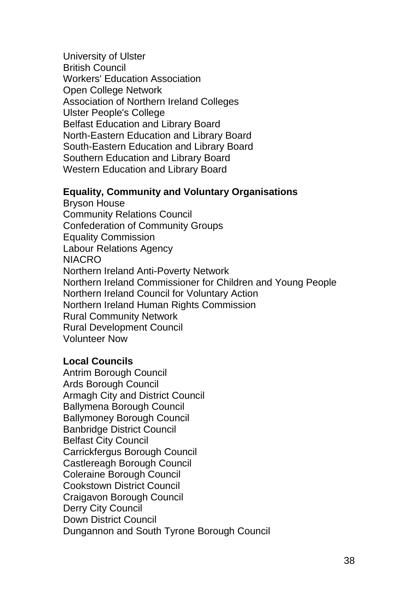University of Ulster British Council Workers' Education Association Open College Network Association of Northern Ireland Colleges Ulster People's College Belfast Education and Library Board North-Eastern Education and Library Board South-Eastern Education and Library Board Southern Education and Library Board Western Education and Library Board

#### **Equality, Community and Voluntary Organisations**

Bryson House Community Relations Council Confederation of Community Groups Equality Commission Labour Relations Agency NIACRO Northern Ireland Anti-Poverty Network Northern Ireland Commissioner for Children and Young People Northern Ireland Council for Voluntary Action Northern Ireland Human Rights Commission Rural Community Network Rural Development Council Volunteer Now

### **Local Councils**

Antrim Borough Council Ards Borough Council Armagh City and District Council Ballymena Borough Council Ballymoney Borough Council Banbridge District Council Belfast City Council Carrickfergus Borough Council Castlereagh Borough Council Coleraine Borough Council Cookstown District Council Craigavon Borough Council Derry City Council Down District Council Dungannon and South Tyrone Borough Council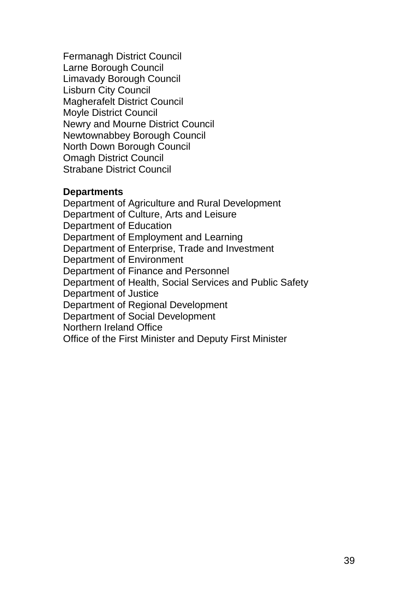Fermanagh District Council Larne Borough Council Limavady Borough Council Lisburn City Council Magherafelt District Council Moyle District Council Newry and Mourne District Council Newtownabbey Borough Council North Down Borough Council Omagh District Council Strabane District Council

#### **Departments**

Department of Agriculture and Rural Development Department of Culture, Arts and Leisure Department of Education Department of Employment and Learning Department of Enterprise, Trade and Investment Department of Environment Department of Finance and Personnel Department of Health, Social Services and Public Safety Department of Justice Department of Regional Development Department of Social Development Northern Ireland Office Office of the First Minister and Deputy First Minister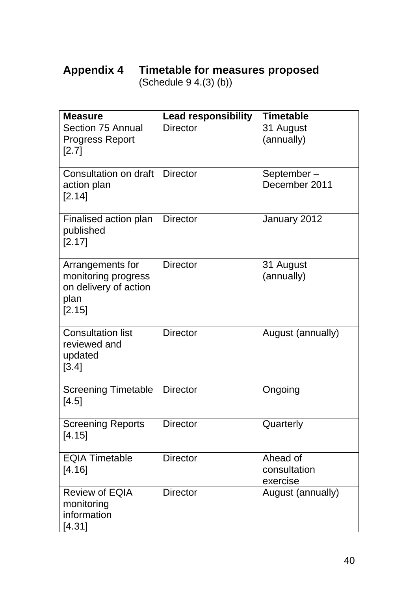# **Appendix 4 Timetable for measures proposed**

(Schedule 9 4.(3) (b))

| <b>Measure</b>                                                                     | <b>Lead responsibility</b> | <b>Timetable</b>                     |
|------------------------------------------------------------------------------------|----------------------------|--------------------------------------|
| Section 75 Annual<br><b>Progress Report</b><br>$[2.7]$                             | <b>Director</b>            | 31 August<br>(annually)              |
| Consultation on draft<br>action plan<br>[2.14]                                     | <b>Director</b>            | September-<br>December 2011          |
| Finalised action plan<br>published<br>[2.17]                                       | <b>Director</b>            | January 2012                         |
| Arrangements for<br>monitoring progress<br>on delivery of action<br>plan<br>[2.15] | <b>Director</b>            | 31 August<br>(annually)              |
| <b>Consultation list</b><br>reviewed and<br>updated<br>[3.4]                       | <b>Director</b>            | August (annually)                    |
| <b>Screening Timetable</b><br>[4.5]                                                | <b>Director</b>            | Ongoing                              |
| <b>Screening Reports</b><br>[4.15]                                                 | <b>Director</b>            | Quarterly                            |
| <b>EQIA Timetable</b><br>[4.16]                                                    | <b>Director</b>            | Ahead of<br>consultation<br>exercise |
| <b>Review of EQIA</b><br>monitoring<br>information<br>[4.31]                       | <b>Director</b>            | August (annually)                    |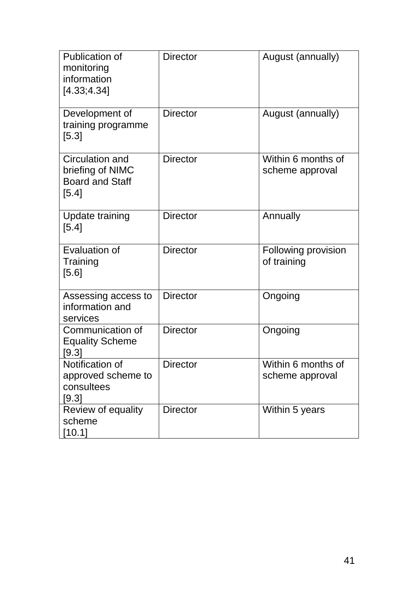| Publication of<br>monitoring<br>information<br>[4.33; 4.34]              | <b>Director</b> | August (annually)                     |
|--------------------------------------------------------------------------|-----------------|---------------------------------------|
| Development of<br>training programme<br>$[5.3]$                          | <b>Director</b> | August (annually)                     |
| Circulation and<br>briefing of NIMC<br><b>Board and Staff</b><br>$[5.4]$ | <b>Director</b> | Within 6 months of<br>scheme approval |
| Update training<br>[5.4]                                                 | <b>Director</b> | Annually                              |
| Evaluation of<br>Training<br>[5.6]                                       | <b>Director</b> | Following provision<br>of training    |
| Assessing access to<br>information and<br>services                       | <b>Director</b> | Ongoing                               |
| Communication of<br><b>Equality Scheme</b><br>[9.3]                      | <b>Director</b> | Ongoing                               |
| Notification of<br>approved scheme to<br>consultees<br>[9.3]             | <b>Director</b> | Within 6 months of<br>scheme approval |
| Review of equality<br>scheme<br>$[10.1]$                                 | <b>Director</b> | Within 5 years                        |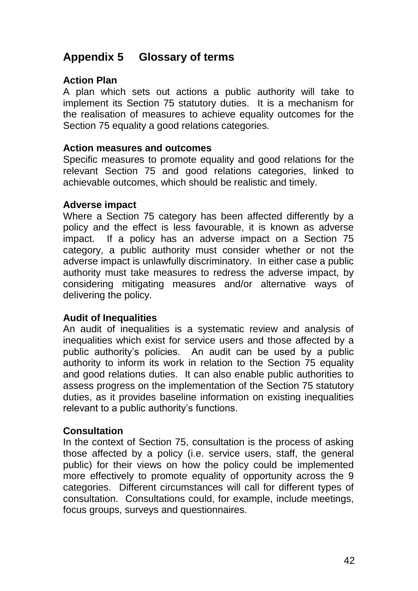## **Appendix 5 Glossary of terms**

## **Action Plan**

A plan which sets out actions a public authority will take to implement its Section 75 statutory duties. It is a mechanism for the realisation of measures to achieve equality outcomes for the Section 75 equality a good relations categories.

#### **Action measures and outcomes**

Specific measures to promote equality and good relations for the relevant Section 75 and good relations categories, linked to achievable outcomes, which should be realistic and timely.

#### **Adverse impact**

Where a Section 75 category has been affected differently by a policy and the effect is less favourable, it is known as adverse impact. If a policy has an adverse impact on a Section 75 category, a public authority must consider whether or not the adverse impact is unlawfully discriminatory. In either case a public authority must take measures to redress the adverse impact, by considering mitigating measures and/or alternative ways of delivering the policy.

### **Audit of Inequalities**

An audit of inequalities is a systematic review and analysis of inequalities which exist for service users and those affected by a public authority's policies. An audit can be used by a public authority to inform its work in relation to the Section 75 equality and good relations duties. It can also enable public authorities to assess progress on the implementation of the Section 75 statutory duties, as it provides baseline information on existing inequalities relevant to a public authority's functions.

### **Consultation**

In the context of Section 75, consultation is the process of asking those affected by a policy (i.e. service users, staff, the general public) for their views on how the policy could be implemented more effectively to promote equality of opportunity across the 9 categories. Different circumstances will call for different types of consultation. Consultations could, for example, include meetings, focus groups, surveys and questionnaires.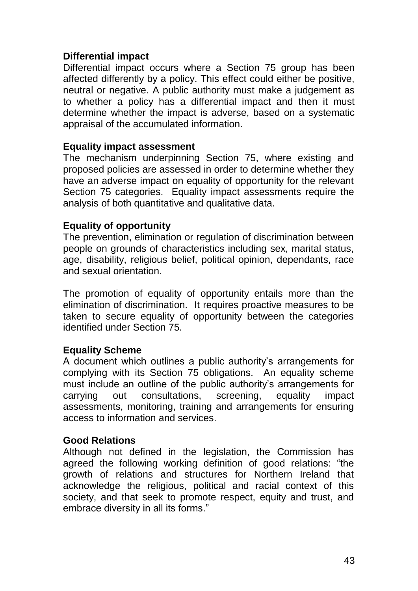### **Differential impact**

Differential impact occurs where a Section 75 group has been affected differently by a policy. This effect could either be positive, neutral or negative. A public authority must make a judgement as to whether a policy has a differential impact and then it must determine whether the impact is adverse, based on a systematic appraisal of the accumulated information.

### **Equality impact assessment**

The mechanism underpinning Section 75, where existing and proposed policies are assessed in order to determine whether they have an adverse impact on equality of opportunity for the relevant Section 75 categories. Equality impact assessments require the analysis of both quantitative and qualitative data.

### **Equality of opportunity**

The prevention, elimination or regulation of discrimination between people on grounds of characteristics including sex, marital status, age, disability, religious belief, political opinion, dependants, race and sexual orientation.

The promotion of equality of opportunity entails more than the elimination of discrimination. It requires proactive measures to be taken to secure equality of opportunity between the categories identified under Section 75.

### **Equality Scheme**

A document which outlines a public authority's arrangements for complying with its Section 75 obligations. An equality scheme must include an outline of the public authority's arrangements for carrying out consultations, screening, equality impact assessments, monitoring, training and arrangements for ensuring access to information and services.

### **Good Relations**

Although not defined in the legislation, the Commission has agreed the following working definition of good relations: "the growth of relations and structures for Northern Ireland that acknowledge the religious, political and racial context of this society, and that seek to promote respect, equity and trust, and embrace diversity in all its forms."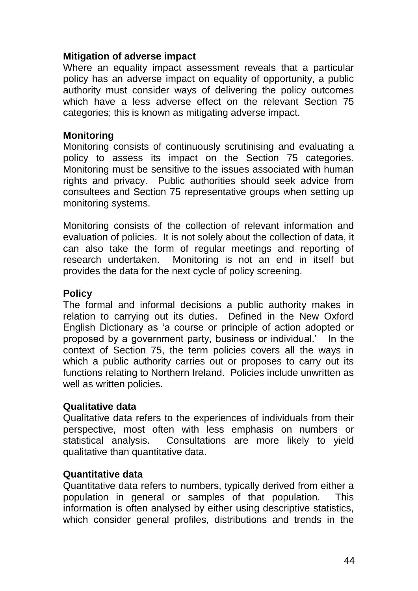#### **Mitigation of adverse impact**

Where an equality impact assessment reveals that a particular policy has an adverse impact on equality of opportunity, a public authority must consider ways of delivering the policy outcomes which have a less adverse effect on the relevant Section 75 categories; this is known as mitigating adverse impact.

#### **Monitoring**

Monitoring consists of continuously scrutinising and evaluating a policy to assess its impact on the Section 75 categories. Monitoring must be sensitive to the issues associated with human rights and privacy. Public authorities should seek advice from consultees and Section 75 representative groups when setting up monitoring systems.

Monitoring consists of the collection of relevant information and evaluation of policies. It is not solely about the collection of data, it can also take the form of regular meetings and reporting of research undertaken. Monitoring is not an end in itself but provides the data for the next cycle of policy screening.

#### **Policy**

The formal and informal decisions a public authority makes in relation to carrying out its duties. Defined in the New Oxford English Dictionary as 'a course or principle of action adopted or proposed by a government party, business or individual.' In the context of Section 75, the term policies covers all the ways in which a public authority carries out or proposes to carry out its functions relating to Northern Ireland. Policies include unwritten as well as written policies.

#### **Qualitative data**

Qualitative data refers to the experiences of individuals from their perspective, most often with less emphasis on numbers or statistical analysis. Consultations are more likely to yield qualitative than quantitative data.

### **Quantitative data**

Quantitative data refers to numbers, typically derived from either a population in general or samples of that population. This information is often analysed by either using descriptive statistics, which consider general profiles, distributions and trends in the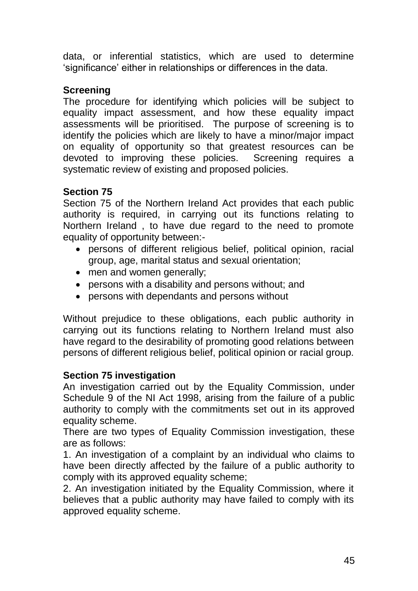data, or inferential statistics, which are used to determine 'significance' either in relationships or differences in the data.

## **Screening**

The procedure for identifying which policies will be subject to equality impact assessment, and how these equality impact assessments will be prioritised. The purpose of screening is to identify the policies which are likely to have a minor/major impact on equality of opportunity so that greatest resources can be devoted to improving these policies. Screening requires a systematic review of existing and proposed policies.

## **Section 75**

Section 75 of the Northern Ireland Act provides that each public authority is required, in carrying out its functions relating to Northern Ireland , to have due regard to the need to promote equality of opportunity between:-

- persons of different religious belief, political opinion, racial group, age, marital status and sexual orientation;
- men and women generally;
- persons with a disability and persons without; and
- persons with dependants and persons without

Without prejudice to these obligations, each public authority in carrying out its functions relating to Northern Ireland must also have regard to the desirability of promoting good relations between persons of different religious belief, political opinion or racial group.

## **Section 75 investigation**

An investigation carried out by the Equality Commission, under Schedule 9 of the NI Act 1998, arising from the failure of a public authority to comply with the commitments set out in its approved equality scheme.

There are two types of Equality Commission investigation, these are as follows:

1. An investigation of a complaint by an individual who claims to have been directly affected by the failure of a public authority to comply with its approved equality scheme;

2. An investigation initiated by the Equality Commission, where it believes that a public authority may have failed to comply with its approved equality scheme.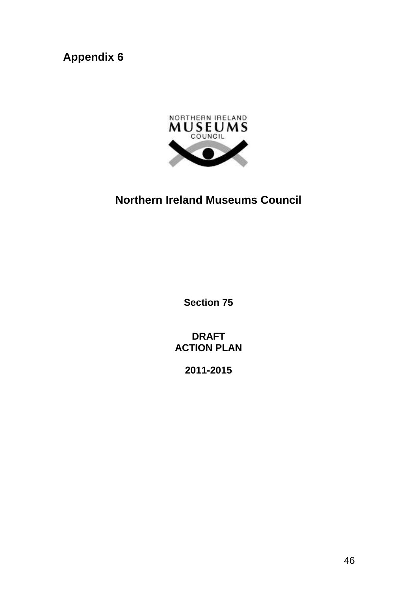**Appendix 6**



# **Northern Ireland Museums Council**

**Section 75**

**DRAFT ACTION PLAN**

**2011-2015**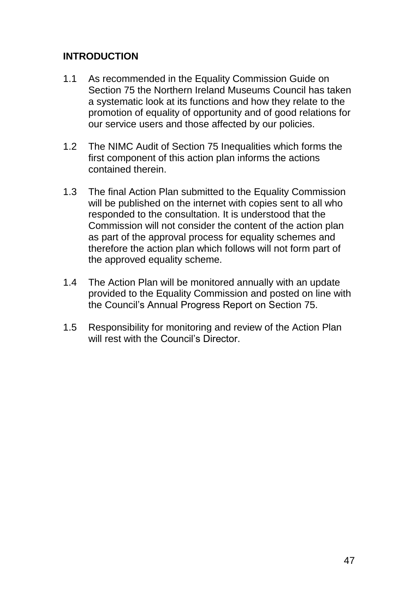## **INTRODUCTION**

- 1.1 As recommended in the Equality Commission Guide on Section 75 the Northern Ireland Museums Council has taken a systematic look at its functions and how they relate to the promotion of equality of opportunity and of good relations for our service users and those affected by our policies.
- 1.2 The NIMC Audit of Section 75 Inequalities which forms the first component of this action plan informs the actions contained therein.
- 1.3 The final Action Plan submitted to the Equality Commission will be published on the internet with copies sent to all who responded to the consultation. It is understood that the Commission will not consider the content of the action plan as part of the approval process for equality schemes and therefore the action plan which follows will not form part of the approved equality scheme.
- 1.4 The Action Plan will be monitored annually with an update provided to the Equality Commission and posted on line with the Council's Annual Progress Report on Section 75.
- 1.5 Responsibility for monitoring and review of the Action Plan will rest with the Council's Director.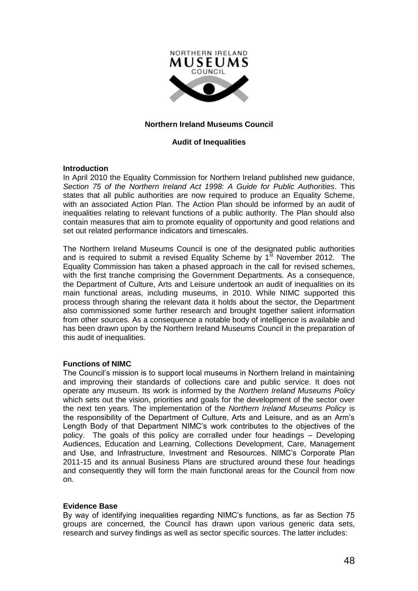

#### **Northern Ireland Museums Council**

#### **Audit of Inequalities**

#### **Introduction**

In April 2010 the Equality Commission for Northern Ireland published new guidance, *Section 75 of the Northern Ireland Act 1998: A Guide for Public Authorities*. This states that all public authorities are now required to produce an Equality Scheme, with an associated Action Plan. The Action Plan should be informed by an audit of inequalities relating to relevant functions of a public authority. The Plan should also contain measures that aim to promote equality of opportunity and good relations and set out related performance indicators and timescales.

The Northern Ireland Museums Council is one of the designated public authorities and is required to submit a revised Equality Scheme by  $1^{st}$  November 2012. The Equality Commission has taken a phased approach in the call for revised schemes, with the first tranche comprising the Government Departments. As a consequence, the Department of Culture, Arts and Leisure undertook an audit of inequalities on its main functional areas, including museums, in 2010. While NIMC supported this process through sharing the relevant data it holds about the sector, the Department also commissioned some further research and brought together salient information from other sources. As a consequence a notable body of intelligence is available and has been drawn upon by the Northern Ireland Museums Council in the preparation of this audit of inequalities.

#### **Functions of NIMC**

The Council's mission is to support local museums in Northern Ireland in maintaining and improving their standards of collections care and public service. It does not operate any museum. Its work is informed by the *Northern Ireland Museums Policy* which sets out the vision, priorities and goals for the development of the sector over the next ten years. The implementation of the *Northern Ireland Museums Policy* is the responsibility of the Department of Culture, Arts and Leisure, and as an Arm's Length Body of that Department NIMC's work contributes to the objectives of the policy. The goals of this policy are corralled under four headings – Developing Audiences, Education and Learning, Collections Development, Care, Management and Use, and Infrastructure, Investment and Resources. NIMC's Corporate Plan 2011-15 and its annual Business Plans are structured around these four headings and consequently they will form the main functional areas for the Council from now on.

#### **Evidence Base**

By way of identifying inequalities regarding NIMC's functions, as far as Section 75 groups are concerned, the Council has drawn upon various generic data sets, research and survey findings as well as sector specific sources. The latter includes: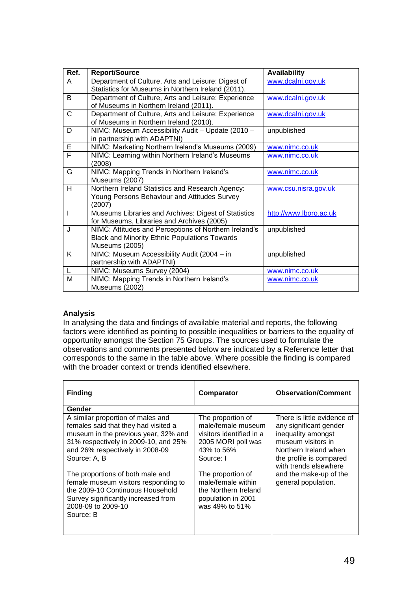| Ref.         | <b>Report/Source</b>                                                                                                     | <b>Availability</b>    |
|--------------|--------------------------------------------------------------------------------------------------------------------------|------------------------|
| A            | Department of Culture, Arts and Leisure: Digest of<br>Statistics for Museums in Northern Ireland (2011).                 | www.dcalni.gov.uk      |
| B            | Department of Culture, Arts and Leisure: Experience<br>of Museums in Northern Ireland (2011).                            | www.dcalni.gov.uk      |
| $\mathsf{C}$ | Department of Culture, Arts and Leisure: Experience<br>of Museums in Northern Ireland (2010).                            | www.dcalni.gov.uk      |
| D            | NIMC: Museum Accessibility Audit - Update (2010 -<br>in partnership with ADAPTNI)                                        | unpublished            |
| E            | NIMC: Marketing Northern Ireland's Museums (2009)                                                                        | www.nimc.co.uk         |
| F            | NIMC: Learning within Northern Ireland's Museums<br>(2008)                                                               | www.nimc.co.uk         |
| G            | NIMC: Mapping Trends in Northern Ireland's<br>Museums (2007)                                                             | www.nimc.co.uk         |
| H.           | Northern Ireland Statistics and Research Agency:<br>Young Persons Behaviour and Attitudes Survey<br>(2007)               | www.csu.nisra.gov.uk   |
| $\mathsf{l}$ | Museums Libraries and Archives: Digest of Statistics<br>for Museums, Libraries and Archives (2005)                       | http://www.lboro.ac.uk |
| J            | NIMC: Attitudes and Perceptions of Northern Ireland's<br>Black and Minority Ethnic Populations Towards<br>Museums (2005) | unpublished            |
| K            | NIMC: Museum Accessibility Audit (2004 - in<br>partnership with ADAPTNI)                                                 | unpublished            |
| L            | NIMC: Museums Survey (2004)                                                                                              | www.nimc.co.uk         |
| м            | NIMC: Mapping Trends in Northern Ireland's<br>Museums (2002)                                                             | www.nimc.co.uk         |

#### **Analysis**

In analysing the data and findings of available material and reports, the following factors were identified as pointing to possible inequalities or barriers to the equality of opportunity amongst the Section 75 Groups. The sources used to formulate the observations and comments presented below are indicated by a Reference letter that corresponds to the same in the table above. Where possible the finding is compared with the broader context or trends identified elsewhere.

| <b>Finding</b>                                                                                                                                                                                               | Comparator                                                                                                           | <b>Observation/Comment</b>                                                                                                                                                     |
|--------------------------------------------------------------------------------------------------------------------------------------------------------------------------------------------------------------|----------------------------------------------------------------------------------------------------------------------|--------------------------------------------------------------------------------------------------------------------------------------------------------------------------------|
| Gender                                                                                                                                                                                                       |                                                                                                                      |                                                                                                                                                                                |
| A similar proportion of males and<br>females said that they had visited a<br>museum in the previous year, 32% and<br>31% respectively in 2009-10, and 25%<br>and 26% respectively in 2008-09<br>Source: A, B | The proportion of<br>male/female museum<br>visitors identified in a<br>2005 MORI poll was<br>43% to 56%<br>Source: I | There is little evidence of<br>any significant gender<br>inequality amongst<br>museum visitors in<br>Northern Ireland when<br>the profile is compared<br>with trends elsewhere |
| The proportions of both male and<br>female museum visitors responding to<br>the 2009-10 Continuous Household<br>Survey significantly increased from<br>2008-09 to 2009-10<br>Source: B                       | The proportion of<br>male/female within<br>the Northern Ireland<br>population in 2001<br>was 49% to 51%              | and the make-up of the<br>general population.                                                                                                                                  |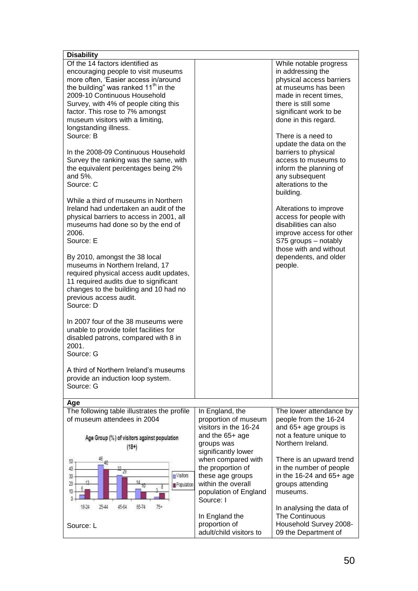| <b>Disability</b>                                                                                                                                                                                                                                                                                                                                                                                                                                                                                                                                                                                                                                                                                                                                                                                                                                                                                 |                                                                                                                         |                                                                                                                                                                                                                                                                                                                                                                                                                                                                                                                                                                                |
|---------------------------------------------------------------------------------------------------------------------------------------------------------------------------------------------------------------------------------------------------------------------------------------------------------------------------------------------------------------------------------------------------------------------------------------------------------------------------------------------------------------------------------------------------------------------------------------------------------------------------------------------------------------------------------------------------------------------------------------------------------------------------------------------------------------------------------------------------------------------------------------------------|-------------------------------------------------------------------------------------------------------------------------|--------------------------------------------------------------------------------------------------------------------------------------------------------------------------------------------------------------------------------------------------------------------------------------------------------------------------------------------------------------------------------------------------------------------------------------------------------------------------------------------------------------------------------------------------------------------------------|
| Of the 14 factors identified as<br>encouraging people to visit museums<br>more often, 'Easier access in/around<br>the building" was ranked 11 <sup>th</sup> in the<br>2009-10 Continuous Household<br>Survey, with 4% of people citing this<br>factor. This rose to 7% amongst<br>museum visitors with a limiting,<br>longstanding illness.<br>Source: B<br>In the 2008-09 Continuous Household<br>Survey the ranking was the same, with<br>the equivalent percentages being 2%<br>and 5%.<br>Source: C<br>While a third of museums in Northern<br>Ireland had undertaken an audit of the<br>physical barriers to access in 2001, all<br>museums had done so by the end of<br>2006.<br>Source: E<br>By 2010, amongst the 38 local<br>museums in Northern Ireland, 17<br>required physical access audit updates,<br>11 required audits due to significant<br>changes to the building and 10 had no |                                                                                                                         | While notable progress<br>in addressing the<br>physical access barriers<br>at museums has been<br>made in recent times.<br>there is still some<br>significant work to be<br>done in this regard.<br>There is a need to<br>update the data on the<br>barriers to physical<br>access to museums to<br>inform the planning of<br>any subsequent<br>alterations to the<br>building.<br>Alterations to improve<br>access for people with<br>disabilities can also<br>improve access for other<br>S75 groups - notably<br>those with and without<br>dependents, and older<br>people. |
| previous access audit.<br>Source: D                                                                                                                                                                                                                                                                                                                                                                                                                                                                                                                                                                                                                                                                                                                                                                                                                                                               |                                                                                                                         |                                                                                                                                                                                                                                                                                                                                                                                                                                                                                                                                                                                |
| In 2007 four of the 38 museums were<br>unable to provide toilet facilities for<br>disabled patrons, compared with 8 in<br>2001.<br>Source: G                                                                                                                                                                                                                                                                                                                                                                                                                                                                                                                                                                                                                                                                                                                                                      |                                                                                                                         |                                                                                                                                                                                                                                                                                                                                                                                                                                                                                                                                                                                |
| A third of Northern Ireland's museums<br>provide an induction loop system.<br>Source: G                                                                                                                                                                                                                                                                                                                                                                                                                                                                                                                                                                                                                                                                                                                                                                                                           |                                                                                                                         |                                                                                                                                                                                                                                                                                                                                                                                                                                                                                                                                                                                |
| Age                                                                                                                                                                                                                                                                                                                                                                                                                                                                                                                                                                                                                                                                                                                                                                                                                                                                                               |                                                                                                                         |                                                                                                                                                                                                                                                                                                                                                                                                                                                                                                                                                                                |
| The following table illustrates the profile                                                                                                                                                                                                                                                                                                                                                                                                                                                                                                                                                                                                                                                                                                                                                                                                                                                       | In England, the                                                                                                         | The lower attendance by                                                                                                                                                                                                                                                                                                                                                                                                                                                                                                                                                        |
| of museum attendees in 2004<br>Age Group (%) of visitors against population<br>$(18+)$                                                                                                                                                                                                                                                                                                                                                                                                                                                                                                                                                                                                                                                                                                                                                                                                            | proportion of museum<br>visitors in the 16-24<br>and the 65+ age<br>groups was<br>significantly lower                   | people from the 16-24<br>and 65+ age groups is<br>not a feature unique to<br>Northern Ireland.                                                                                                                                                                                                                                                                                                                                                                                                                                                                                 |
| 50<br>册<br>船<br>74<br>Visitors<br>30<br>13<br>20<br>Population<br>10<br>O.                                                                                                                                                                                                                                                                                                                                                                                                                                                                                                                                                                                                                                                                                                                                                                                                                        | when compared with<br>the proportion of<br>these age groups<br>within the overall<br>population of England<br>Source: I | There is an upward trend<br>in the number of people<br>in the $16-24$ and $65+$ age<br>groups attending<br>museums.                                                                                                                                                                                                                                                                                                                                                                                                                                                            |
| 2544<br>45.64<br>65.74<br>$75+$<br>18.74<br>Source: L                                                                                                                                                                                                                                                                                                                                                                                                                                                                                                                                                                                                                                                                                                                                                                                                                                             | In England the<br>proportion of<br>adult/child visitors to                                                              | In analysing the data of<br><b>The Continuous</b><br>Household Survey 2008-<br>09 the Department of                                                                                                                                                                                                                                                                                                                                                                                                                                                                            |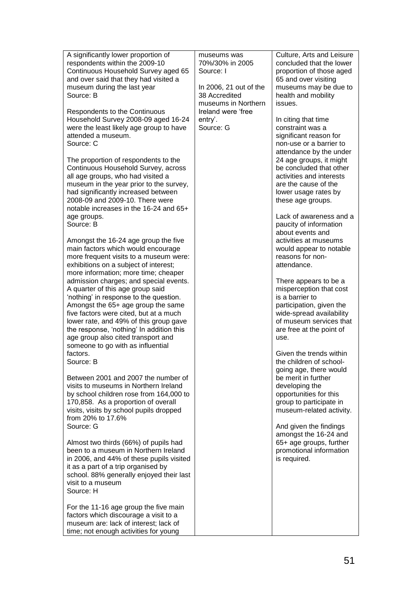| A significantly lower proportion of<br>respondents within the 2009-10<br>Continuous Household Survey aged 65<br>and over said that they had visited a<br>museum during the last year<br>Source: B<br>Respondents to the Continuous<br>Household Survey 2008-09 aged 16-24<br>were the least likely age group to have<br>attended a museum.<br>Source: C                           | museums was<br>70%/30% in 2005<br>Source: I<br>In 2006, 21 out of the<br>38 Accredited<br>museums in Northern<br>Ireland were 'free<br>entry'.<br>Source: G | Culture, Arts and Leisure<br>concluded that the lower<br>proportion of those aged<br>65 and over visiting<br>museums may be due to<br>health and mobility<br>issues.<br>In citing that time<br>constraint was a<br>significant reason for<br>non-use or a barrier to<br>attendance by the under |
|-----------------------------------------------------------------------------------------------------------------------------------------------------------------------------------------------------------------------------------------------------------------------------------------------------------------------------------------------------------------------------------|-------------------------------------------------------------------------------------------------------------------------------------------------------------|-------------------------------------------------------------------------------------------------------------------------------------------------------------------------------------------------------------------------------------------------------------------------------------------------|
| The proportion of respondents to the<br>Continuous Household Survey, across<br>all age groups, who had visited a<br>museum in the year prior to the survey,<br>had significantly increased between<br>2008-09 and 2009-10. There were<br>notable increases in the 16-24 and 65+<br>age groups.<br>Source: B                                                                       |                                                                                                                                                             | 24 age groups, it might<br>be concluded that other<br>activities and interests<br>are the cause of the<br>lower usage rates by<br>these age groups.<br>Lack of awareness and a<br>paucity of information<br>about events and                                                                    |
| Amongst the 16-24 age group the five<br>main factors which would encourage<br>more frequent visits to a museum were:<br>exhibitions on a subject of interest;<br>more information; more time; cheaper                                                                                                                                                                             |                                                                                                                                                             | activities at museums<br>would appear to notable<br>reasons for non-<br>attendance.                                                                                                                                                                                                             |
| admission charges; and special events.<br>A quarter of this age group said<br>'nothing' in response to the question.<br>Amongst the 65+ age group the same<br>five factors were cited, but at a much<br>lower rate, and 49% of this group gave<br>the response, 'nothing' In addition this<br>age group also cited transport and<br>someone to go with as influential<br>factors. |                                                                                                                                                             | There appears to be a<br>misperception that cost<br>is a barrier to<br>participation, given the<br>wide-spread availability<br>of museum services that<br>are free at the point of<br>use.<br>Given the trends within                                                                           |
| Source: B                                                                                                                                                                                                                                                                                                                                                                         |                                                                                                                                                             | the children of school-<br>going age, there would                                                                                                                                                                                                                                               |
| Between 2001 and 2007 the number of<br>visits to museums in Northern Ireland<br>by school children rose from 164,000 to<br>170,858. As a proportion of overall<br>visits, visits by school pupils dropped<br>from 20% to 17.6%<br>Source: G                                                                                                                                       |                                                                                                                                                             | be merit in further<br>developing the<br>opportunities for this<br>group to participate in<br>museum-related activity.<br>And given the findings<br>amongst the 16-24 and                                                                                                                       |
| Almost two thirds (66%) of pupils had<br>been to a museum in Northern Ireland<br>in 2006, and 44% of these pupils visited<br>it as a part of a trip organised by<br>school. 88% generally enjoyed their last<br>visit to a museum<br>Source: H                                                                                                                                    |                                                                                                                                                             | 65+ age groups, further<br>promotional information<br>is required.                                                                                                                                                                                                                              |
| For the 11-16 age group the five main<br>factors which discourage a visit to a<br>museum are: lack of interest; lack of<br>time; not enough activities for young                                                                                                                                                                                                                  |                                                                                                                                                             |                                                                                                                                                                                                                                                                                                 |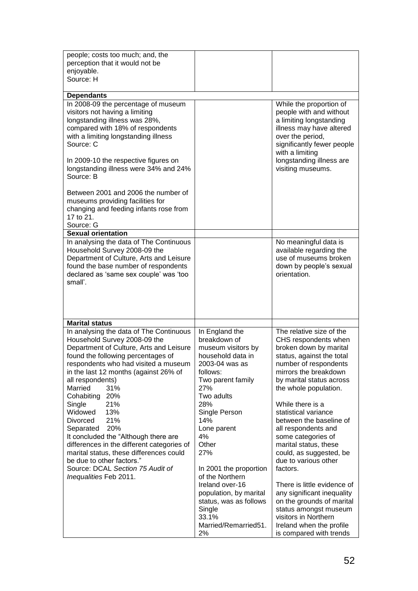| people; costs too much; and, the<br>perception that it would not be<br>enjoyable.                                                                                                                                                                                                                                                                                                                                                                                                                                                                                                                       |                                                                                                                                                                                                                                                                                                                                                              |                                                                                                                                                                                                                                                                                                                                                                                                                                                                                                                                                                       |
|---------------------------------------------------------------------------------------------------------------------------------------------------------------------------------------------------------------------------------------------------------------------------------------------------------------------------------------------------------------------------------------------------------------------------------------------------------------------------------------------------------------------------------------------------------------------------------------------------------|--------------------------------------------------------------------------------------------------------------------------------------------------------------------------------------------------------------------------------------------------------------------------------------------------------------------------------------------------------------|-----------------------------------------------------------------------------------------------------------------------------------------------------------------------------------------------------------------------------------------------------------------------------------------------------------------------------------------------------------------------------------------------------------------------------------------------------------------------------------------------------------------------------------------------------------------------|
| Source: H                                                                                                                                                                                                                                                                                                                                                                                                                                                                                                                                                                                               |                                                                                                                                                                                                                                                                                                                                                              |                                                                                                                                                                                                                                                                                                                                                                                                                                                                                                                                                                       |
| <b>Dependants</b>                                                                                                                                                                                                                                                                                                                                                                                                                                                                                                                                                                                       |                                                                                                                                                                                                                                                                                                                                                              |                                                                                                                                                                                                                                                                                                                                                                                                                                                                                                                                                                       |
| In 2008-09 the percentage of museum<br>visitors not having a limiting<br>longstanding illness was 28%,<br>compared with 18% of respondents<br>with a limiting longstanding illness<br>Source: C<br>In 2009-10 the respective figures on<br>longstanding illness were 34% and 24%<br>Source: B<br>Between 2001 and 2006 the number of<br>museums providing facilities for                                                                                                                                                                                                                                |                                                                                                                                                                                                                                                                                                                                                              | While the proportion of<br>people with and without<br>a limiting longstanding<br>illness may have altered<br>over the period,<br>significantly fewer people<br>with a limiting<br>longstanding illness are<br>visiting museums.                                                                                                                                                                                                                                                                                                                                       |
| changing and feeding infants rose from<br>17 to 21.                                                                                                                                                                                                                                                                                                                                                                                                                                                                                                                                                     |                                                                                                                                                                                                                                                                                                                                                              |                                                                                                                                                                                                                                                                                                                                                                                                                                                                                                                                                                       |
| Source: G                                                                                                                                                                                                                                                                                                                                                                                                                                                                                                                                                                                               |                                                                                                                                                                                                                                                                                                                                                              |                                                                                                                                                                                                                                                                                                                                                                                                                                                                                                                                                                       |
| <b>Sexual orientation</b><br>In analysing the data of The Continuous                                                                                                                                                                                                                                                                                                                                                                                                                                                                                                                                    |                                                                                                                                                                                                                                                                                                                                                              |                                                                                                                                                                                                                                                                                                                                                                                                                                                                                                                                                                       |
| Household Survey 2008-09 the<br>Department of Culture, Arts and Leisure<br>found the base number of respondents<br>declared as 'same sex couple' was 'too<br>small'.                                                                                                                                                                                                                                                                                                                                                                                                                                    |                                                                                                                                                                                                                                                                                                                                                              | No meaningful data is<br>available regarding the<br>use of museums broken<br>down by people's sexual<br>orientation.                                                                                                                                                                                                                                                                                                                                                                                                                                                  |
| <b>Marital status</b>                                                                                                                                                                                                                                                                                                                                                                                                                                                                                                                                                                                   |                                                                                                                                                                                                                                                                                                                                                              |                                                                                                                                                                                                                                                                                                                                                                                                                                                                                                                                                                       |
| In analysing the data of The Continuous<br>Household Survey 2008-09 the<br>Department of Culture, Arts and Leisure<br>found the following percentages of<br>respondents who had visited a museum<br>in the last 12 months (against 26% of<br>all respondents)<br>Married<br>31%<br>Cohabiting<br>20%<br>Single<br>21%<br>Widowed<br>13%<br>21%<br>Divorced<br>Separated 20%<br>It concluded the "Although there are<br>differences in the different categories of<br>marital status, these differences could<br>be due to other factors."<br>Source: DCAL Section 75 Audit of<br>Inequalities Feb 2011. | In England the<br>breakdown of<br>museum visitors by<br>household data in<br>2003-04 was as<br>follows:<br>Two parent family<br>27%<br>Two adults<br>28%<br>Single Person<br>14%<br>Lone parent<br>4%<br>Other<br>27%<br>In 2001 the proportion<br>of the Northern<br>Ireland over-16<br>population, by marital<br>status, was as follows<br>Single<br>33.1% | The relative size of the<br>CHS respondents when<br>broken down by marital<br>status, against the total<br>number of respondents<br>mirrors the breakdown<br>by marital status across<br>the whole population.<br>While there is a<br>statistical variance<br>between the baseline of<br>all respondents and<br>some categories of<br>marital status, these<br>could, as suggested, be<br>due to various other<br>factors.<br>There is little evidence of<br>any significant inequality<br>on the grounds of marital<br>status amongst museum<br>visitors in Northern |
|                                                                                                                                                                                                                                                                                                                                                                                                                                                                                                                                                                                                         | Married/Remarried51.<br>2%                                                                                                                                                                                                                                                                                                                                   | Ireland when the profile<br>is compared with trends                                                                                                                                                                                                                                                                                                                                                                                                                                                                                                                   |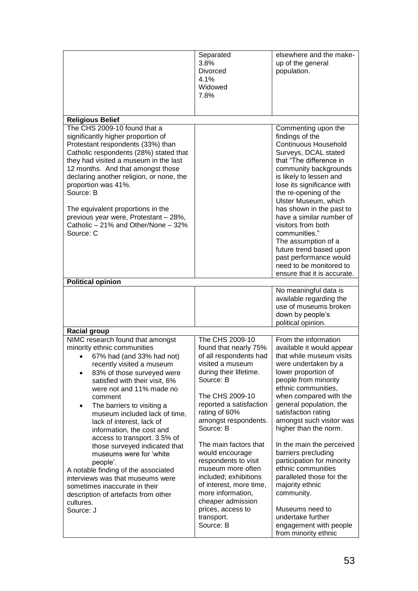|                                                                                                                                                                                                                                                                                                                                                                                                                                                                                                                                                                                                                                                             | Separated<br>3.8%<br><b>Divorced</b><br>4.1%<br>Widowed<br>7.8%                                                                                                                                                                                                                                                                                                                                                                                             | elsewhere and the make-<br>up of the general<br>population.                                                                                                                                                                                                                                                                                                                                                                                                                                                               |
|-------------------------------------------------------------------------------------------------------------------------------------------------------------------------------------------------------------------------------------------------------------------------------------------------------------------------------------------------------------------------------------------------------------------------------------------------------------------------------------------------------------------------------------------------------------------------------------------------------------------------------------------------------------|-------------------------------------------------------------------------------------------------------------------------------------------------------------------------------------------------------------------------------------------------------------------------------------------------------------------------------------------------------------------------------------------------------------------------------------------------------------|---------------------------------------------------------------------------------------------------------------------------------------------------------------------------------------------------------------------------------------------------------------------------------------------------------------------------------------------------------------------------------------------------------------------------------------------------------------------------------------------------------------------------|
| <b>Religious Belief</b>                                                                                                                                                                                                                                                                                                                                                                                                                                                                                                                                                                                                                                     |                                                                                                                                                                                                                                                                                                                                                                                                                                                             |                                                                                                                                                                                                                                                                                                                                                                                                                                                                                                                           |
| The CHS 2009-10 found that a<br>significantly higher proportion of<br>Protestant respondents (33%) than<br>Catholic respondents (28%) stated that<br>they had visited a museum in the last<br>12 months. And that amongst those<br>declaring another religion, or none, the<br>proportion was 41%.<br>Source: B<br>The equivalent proportions in the<br>previous year were, Protestant - 28%,<br>Catholic - 21% and Other/None - 32%<br>Source: C                                                                                                                                                                                                           |                                                                                                                                                                                                                                                                                                                                                                                                                                                             | Commenting upon the<br>findings of the<br><b>Continuous Household</b><br>Surveys, DCAL stated<br>that "The difference in<br>community backgrounds<br>is likely to lessen and<br>lose its significance with<br>the re-opening of the<br>Ulster Museum, which<br>has shown in the past to<br>have a similar number of<br>visitors from both<br>communities."<br>The assumption of a<br>future trend based upon<br>past performance would<br>need to be monitored to<br>ensure that it is accurate.                          |
| <b>Political opinion</b>                                                                                                                                                                                                                                                                                                                                                                                                                                                                                                                                                                                                                                    |                                                                                                                                                                                                                                                                                                                                                                                                                                                             |                                                                                                                                                                                                                                                                                                                                                                                                                                                                                                                           |
|                                                                                                                                                                                                                                                                                                                                                                                                                                                                                                                                                                                                                                                             |                                                                                                                                                                                                                                                                                                                                                                                                                                                             | No meaningful data is<br>available regarding the<br>use of museums broken<br>down by people's<br>political opinion.                                                                                                                                                                                                                                                                                                                                                                                                       |
| <b>Racial group</b>                                                                                                                                                                                                                                                                                                                                                                                                                                                                                                                                                                                                                                         |                                                                                                                                                                                                                                                                                                                                                                                                                                                             |                                                                                                                                                                                                                                                                                                                                                                                                                                                                                                                           |
| NIMC research found that amongst<br>minority ethnic communities<br>67% had (and 33% had not)<br>recently visited a museum<br>83% of those surveyed were<br>satisfied with their visit, 6%<br>were not and 11% made no<br>comment<br>The barriers to visiting a<br>$\bullet$<br>museum included lack of time,<br>lack of interest, lack of<br>information, the cost and<br>access to transport. 3.5% of<br>those surveyed indicated that<br>museums were for 'white<br>people'.<br>A notable finding of the associated<br>interviews was that museums were<br>sometimes inaccurate in their<br>description of artefacts from other<br>cultures.<br>Source: J | The CHS 2009-10<br>found that nearly 75%<br>of all respondents had<br>visited a museum<br>during their lifetime.<br>Source: B<br>The CHS 2009-10<br>reported a satisfaction<br>rating of 60%<br>amongst respondents.<br>Source: B<br>The main factors that<br>would encourage<br>respondents to visit<br>museum more often<br>included; exhibitions<br>of interest, more time,<br>more information,<br>cheaper admission<br>prices, access to<br>transport. | From the information<br>available it would appear<br>that while museum visits<br>were undertaken by a<br>lower proportion of<br>people from minority<br>ethnic communities,<br>when compared with the<br>general population, the<br>satisfaction rating<br>amongst such visitor was<br>higher than the norm.<br>In the main the perceived<br>barriers precluding<br>participation for minority<br>ethnic communities<br>paralleled those for the<br>majority ethnic<br>community.<br>Museums need to<br>undertake further |
|                                                                                                                                                                                                                                                                                                                                                                                                                                                                                                                                                                                                                                                             | Source: B                                                                                                                                                                                                                                                                                                                                                                                                                                                   | engagement with people<br>from minority ethnic                                                                                                                                                                                                                                                                                                                                                                                                                                                                            |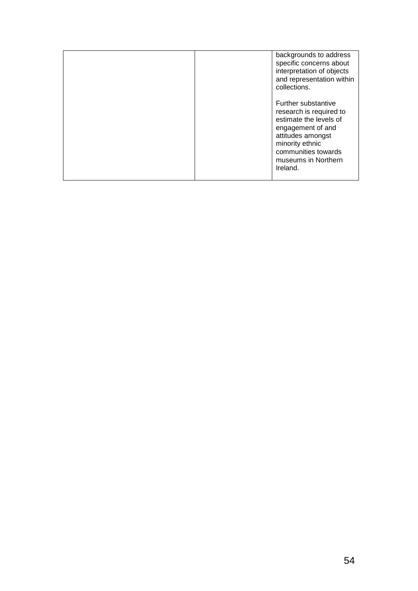|  | backgrounds to address<br>specific concerns about<br>interpretation of objects<br>and representation within<br>collections.                                                                            |
|--|--------------------------------------------------------------------------------------------------------------------------------------------------------------------------------------------------------|
|  | <b>Further substantive</b><br>research is required to<br>estimate the levels of<br>engagement of and<br>attitudes amongst<br>minority ethnic<br>communities towards<br>museums in Northern<br>Ireland. |
|  |                                                                                                                                                                                                        |